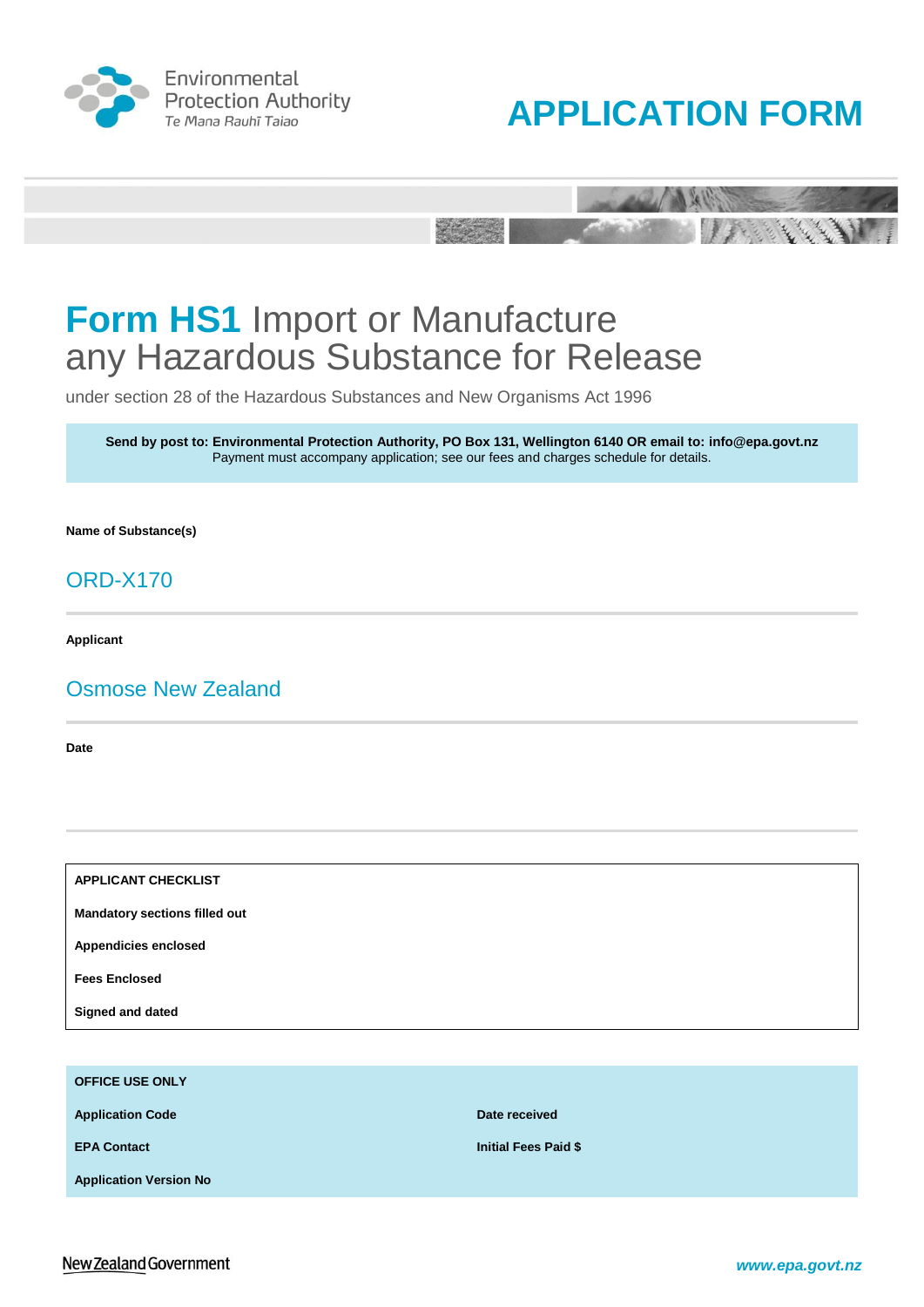





under section 28 of the Hazardous Substances and New Organisms Act 1996

**Send by post to: Environmental Protection Authority, PO Box 131, Wellington 6140 OR email to: info@epa.govt.nz** Payment must accompany application; see our fees and charges schedule for details.

**Name of Substance(s)** 

# ORD-X170

**Applicant**

# Osmose New Zealand

**Date**

**APPLICANT CHECKLIST**

**Mandatory sections filled out**

**Appendicies enclosed**

**Fees Enclosed**

**Signed and dated**

**OFFICE USE ONLY Application Code Date received Date received EPA Contact Initial Fees Paid \$ Application Version No**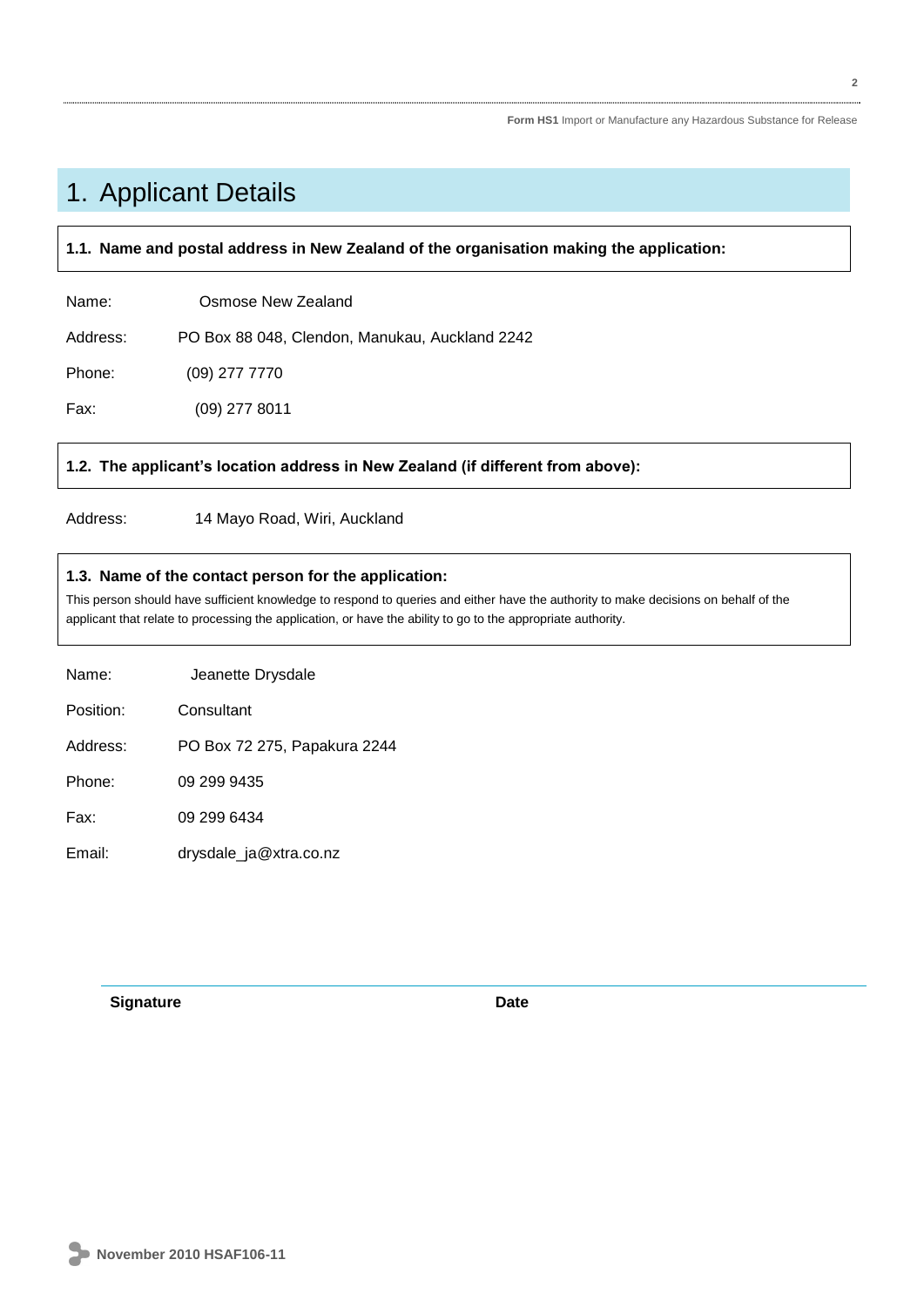# 1. Applicant Details

# **1.1. Name and postal address in New Zealand of the organisation making the application:**

| Name:    | Osmose New Zealand                             |
|----------|------------------------------------------------|
| Address: | PO Box 88 048, Clendon, Manukau, Auckland 2242 |
| Phone:   | $(09)$ 277 7770                                |
| Fax:     | $(09)$ 277 8011                                |

# **1.2. The applicant's location address in New Zealand (if different from above):**

Address: 14 Mayo Road, Wiri, Auckland

# **1.3. Name of the contact person for the application:**

This person should have sufficient knowledge to respond to queries and either have the authority to make decisions on behalf of the applicant that relate to processing the application, or have the ability to go to the appropriate authority.

| Name:     | Jeanette Drysdale            |
|-----------|------------------------------|
| Position: | Consultant                   |
| Address:  | PO Box 72 275, Papakura 2244 |
| Phone:    | 09 299 9435                  |
| Fax:      | 09 299 6434                  |
| Email:    | drysdale_ja@xtra.co.nz       |

**Signature Date**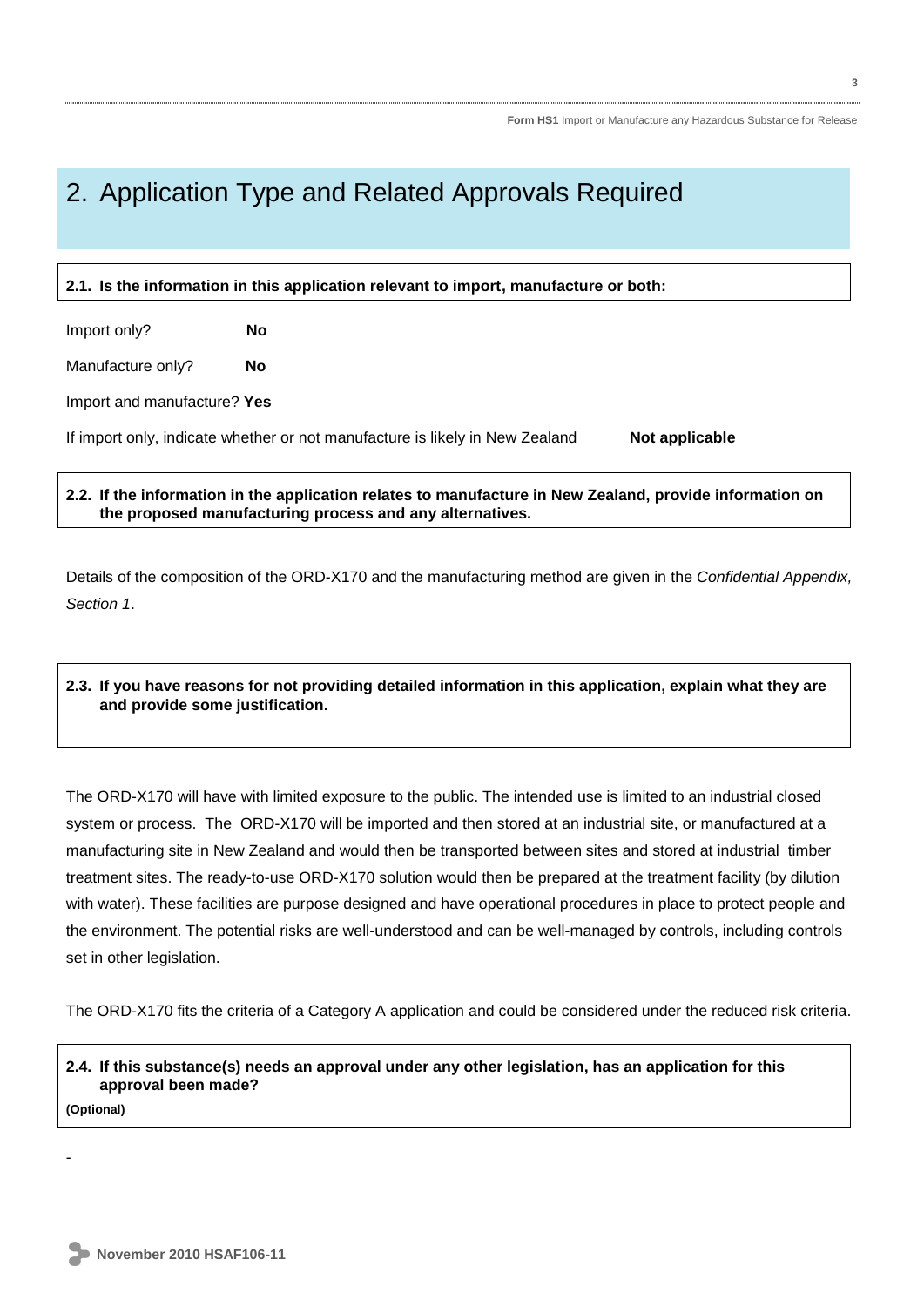# 2. Application Type and Related Approvals Required

# **2.1. Is the information in this application relevant to import, manufacture or both:**

Import only? **No**

Manufacture only? **No** 

Import and manufacture? **Yes**

If import only, indicate whether or not manufacture is likely in New Zealand **Not applicable** 

# **2.2. If the information in the application relates to manufacture in New Zealand, provide information on the proposed manufacturing process and any alternatives.**

Details of the composition of the ORD-X170 and the manufacturing method are given in the *Confidential Appendix, Section 1*.

# **2.3. If you have reasons for not providing detailed information in this application, explain what they are and provide some justification.**

The ORD-X170 will have with limited exposure to the public. The intended use is limited to an industrial closed system or process. The ORD-X170 will be imported and then stored at an industrial site, or manufactured at a manufacturing site in New Zealand and would then be transported between sites and stored at industrial timber treatment sites. The ready-to-use ORD-X170 solution would then be prepared at the treatment facility (by dilution with water). These facilities are purpose designed and have operational procedures in place to protect people and the environment. The potential risks are well-understood and can be well-managed by controls, including controls set in other legislation.

The ORD-X170 fits the criteria of a Category A application and could be considered under the reduced risk criteria.

# **2.4. If this substance(s) needs an approval under any other legislation, has an application for this approval been made?**

**(Optional)**

-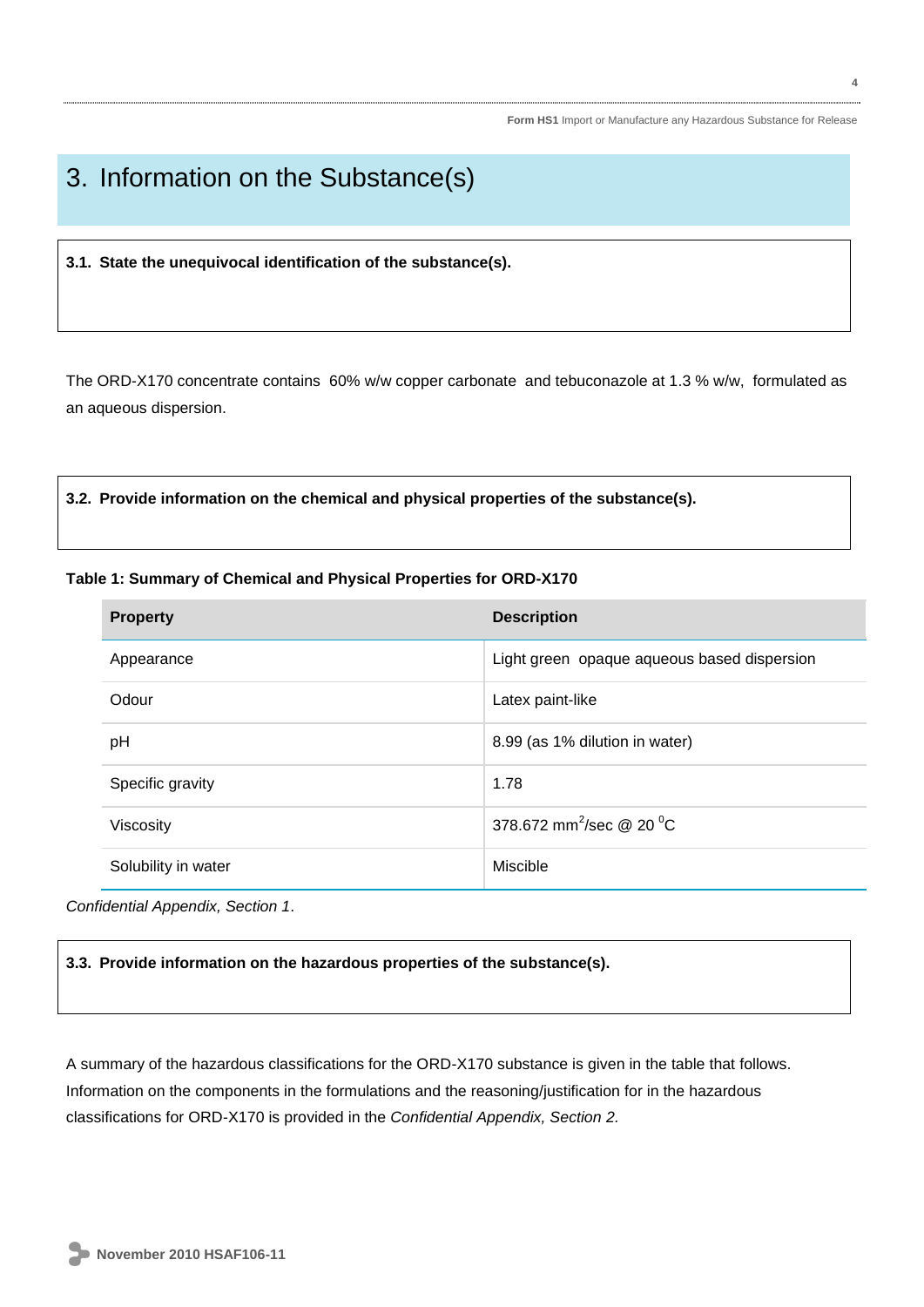# 3. Information on the Substance(s)

**3.1. State the unequivocal identification of the substance(s).**

The ORD-X170 concentrate contains 60% w/w copper carbonate and tebuconazole at 1.3 % w/w, formulated as an aqueous dispersion.

**3.2. Provide information on the chemical and physical properties of the substance(s).**

# **Table 1: Summary of Chemical and Physical Properties for ORD-X170**

| <b>Property</b>     | <b>Description</b>                          |  |  |
|---------------------|---------------------------------------------|--|--|
| Appearance          | Light green opaque aqueous based dispersion |  |  |
| Odour               | Latex paint-like                            |  |  |
| pH                  | 8.99 (as 1% dilution in water)              |  |  |
| Specific gravity    | 1.78                                        |  |  |
| Viscosity           | 378.672 mm <sup>2</sup> /sec @ 20 $^0C$     |  |  |
| Solubility in water | Miscible                                    |  |  |

*Confidential Appendix, Section 1*.

# **3.3. Provide information on the hazardous properties of the substance(s).**

A summary of the hazardous classifications for the ORD-X170 substance is given in the table that follows. Information on the components in the formulations and the reasoning/justification for in the hazardous classifications for ORD-X170 is provided in the *Confidential Appendix, Section 2.*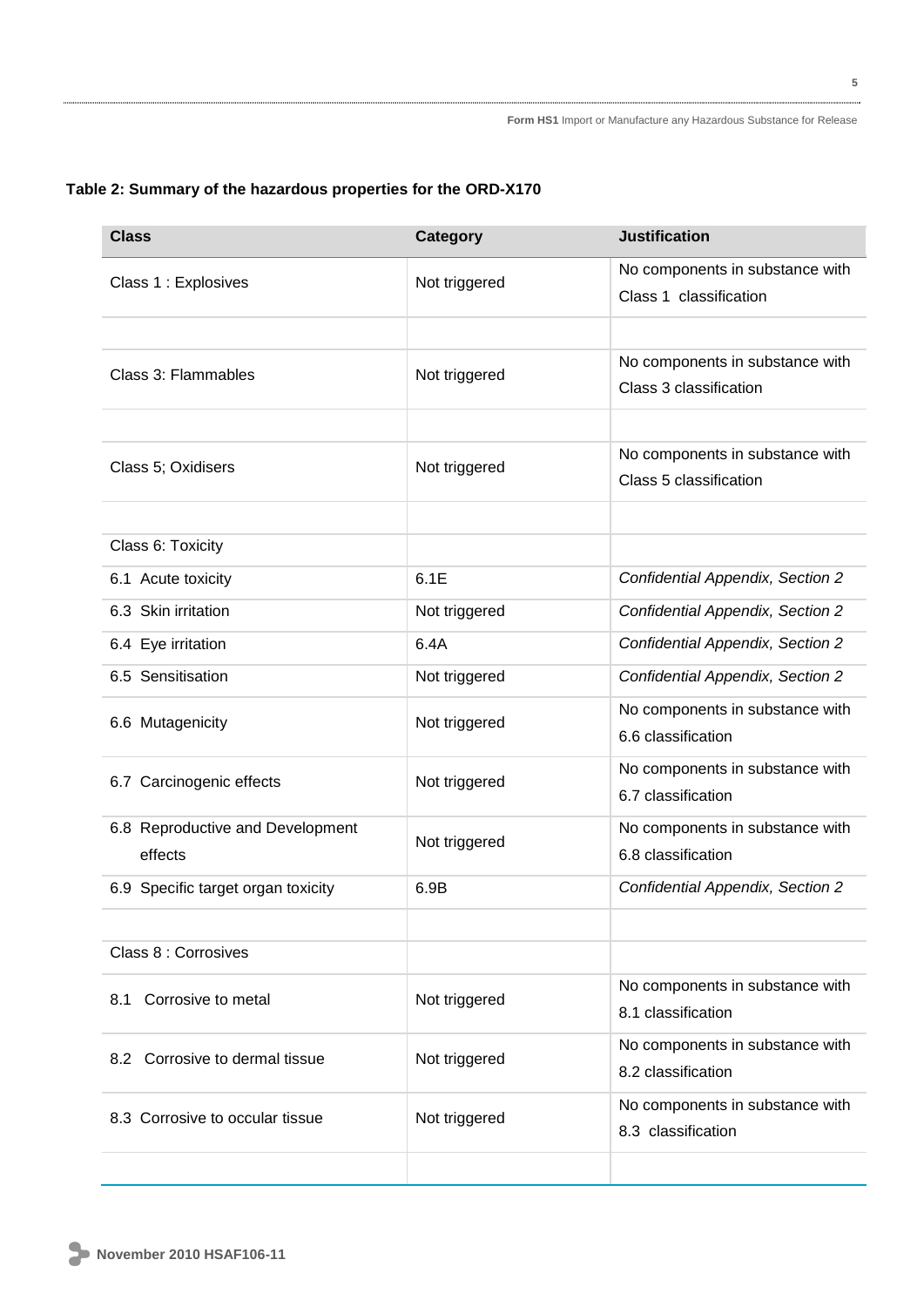| <b>Class</b>                                | <b>Category</b> | <b>Justification</b>                                      |
|---------------------------------------------|-----------------|-----------------------------------------------------------|
| Class 1 : Explosives                        | Not triggered   | No components in substance with<br>Class 1 classification |
|                                             |                 |                                                           |
| Class 3: Flammables                         | Not triggered   | No components in substance with<br>Class 3 classification |
|                                             |                 |                                                           |
| Class 5; Oxidisers                          | Not triggered   | No components in substance with<br>Class 5 classification |
|                                             |                 |                                                           |
| Class 6: Toxicity                           |                 |                                                           |
| 6.1 Acute toxicity                          | 6.1E            | Confidential Appendix, Section 2                          |
| 6.3 Skin irritation                         | Not triggered   | <b>Confidential Appendix, Section 2</b>                   |
| 6.4 Eye irritation                          | 6.4A            | <b>Confidential Appendix, Section 2</b>                   |
| 6.5 Sensitisation                           | Not triggered   | Confidential Appendix, Section 2                          |
| 6.6 Mutagenicity                            | Not triggered   | No components in substance with<br>6.6 classification     |
| 6.7 Carcinogenic effects                    | Not triggered   | No components in substance with<br>6.7 classification     |
| 6.8 Reproductive and Development<br>effects | Not triggered   | No components in substance with<br>6.8 classification     |
| 6.9 Specific target organ toxicity          | 6.9B            | <b>Confidential Appendix, Section 2</b>                   |
|                                             |                 |                                                           |
| Class 8 : Corrosives                        |                 |                                                           |
| 8.1 Corrosive to metal                      | Not triggered   | No components in substance with<br>8.1 classification     |
| 8.2 Corrosive to dermal tissue              | Not triggered   | No components in substance with<br>8.2 classification     |
| 8.3 Corrosive to occular tissue             | Not triggered   | No components in substance with<br>8.3 classification     |
|                                             |                 |                                                           |

# **Table 2: Summary of the hazardous properties for the ORD-X170**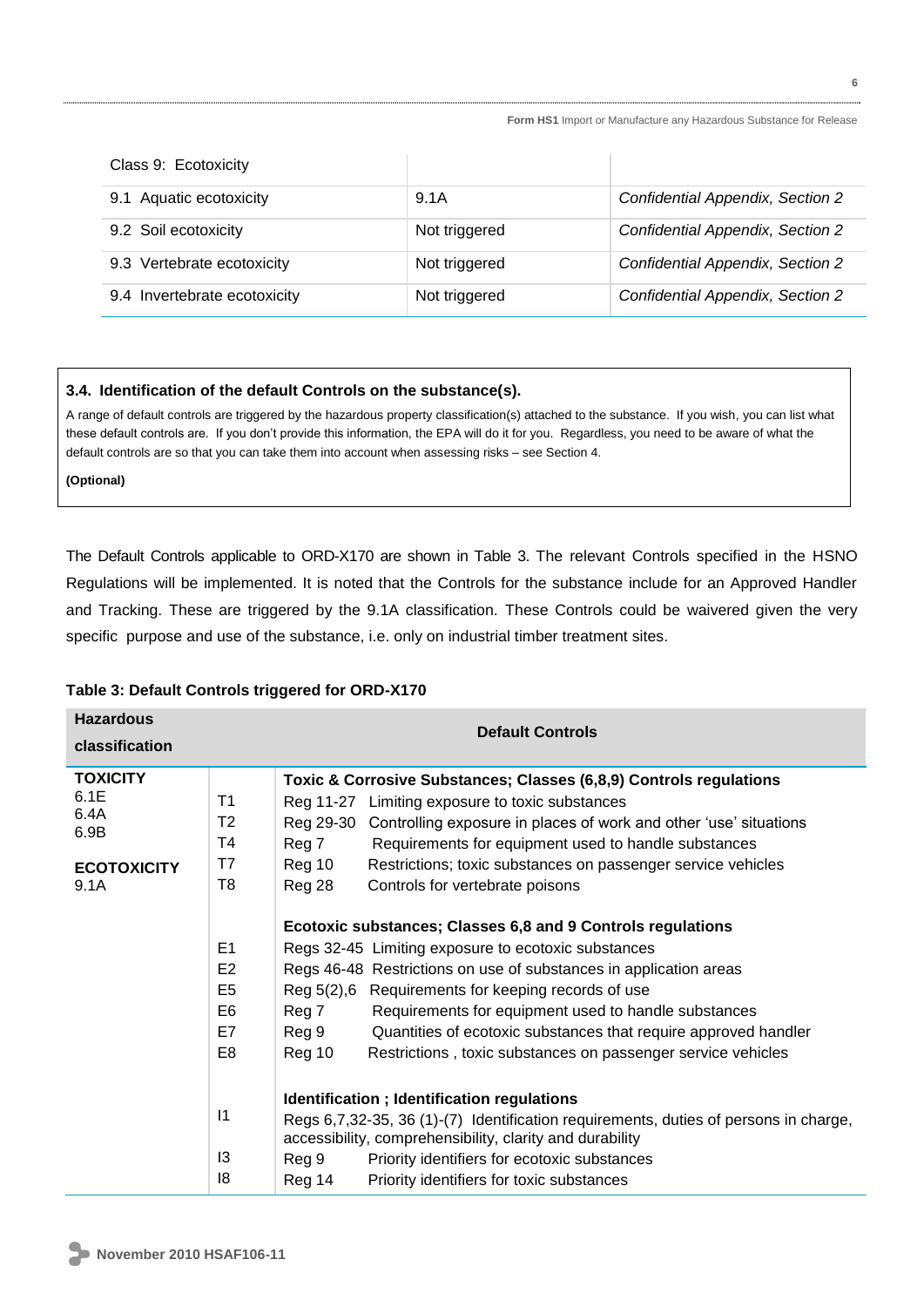| Class 9: Ecotoxicity         |               |                                  |
|------------------------------|---------------|----------------------------------|
| 9.1 Aquatic ecotoxicity      | 9.1A          | Confidential Appendix, Section 2 |
| 9.2 Soil ecotoxicity         | Not triggered | Confidential Appendix, Section 2 |
| 9.3 Vertebrate ecotoxicity   | Not triggered | Confidential Appendix, Section 2 |
| 9.4 Invertebrate ecotoxicity | Not triggered | Confidential Appendix, Section 2 |

# **3.4. Identification of the default Controls on the substance(s).**

A range of default controls are triggered by the hazardous property classification(s) attached to the substance. If you wish, you can list what these default controls are. If you don't provide this information, the EPA will do it for you. Regardless, you need to be aware of what the default controls are so that you can take them into account when assessing risks – see Section 4.

**(Optional)**

The Default Controls applicable to ORD-X170 are shown in Table 3. The relevant Controls specified in the HSNO Regulations will be implemented. It is noted that the Controls for the substance include for an Approved Handler and Tracking. These are triggered by the 9.1A classification. These Controls could be waivered given the very specific purpose and use of the substance, i.e. only on industrial timber treatment sites.

| <b>Hazardous</b>                |                                                           | <b>Default Controls</b>                                                                                                                                                                              |  |  |  |
|---------------------------------|-----------------------------------------------------------|------------------------------------------------------------------------------------------------------------------------------------------------------------------------------------------------------|--|--|--|
| classification                  |                                                           |                                                                                                                                                                                                      |  |  |  |
| <b>TOXICITY</b><br>6.1E<br>6.4A | T <sub>1</sub><br>T <sub>2</sub>                          | Toxic & Corrosive Substances; Classes (6,8,9) Controls regulations<br>Reg 11-27 Limiting exposure to toxic substances<br>Reg 29-30 Controlling exposure in places of work and other 'use' situations |  |  |  |
| 6.9B                            | T4                                                        | Reg 7<br>Requirements for equipment used to handle substances                                                                                                                                        |  |  |  |
| <b>ECOTOXICITY</b><br>9.1A      | T7<br>T8                                                  | Reg 10<br>Restrictions; toxic substances on passenger service vehicles<br>Reg 28<br>Controls for vertebrate poisons                                                                                  |  |  |  |
|                                 |                                                           | Ecotoxic substances; Classes 6,8 and 9 Controls regulations                                                                                                                                          |  |  |  |
|                                 | E1<br>Regs 32-45 Limiting exposure to ecotoxic substances |                                                                                                                                                                                                      |  |  |  |
|                                 | E <sub>2</sub>                                            | Regs 46-48 Restrictions on use of substances in application areas                                                                                                                                    |  |  |  |
|                                 | E <sub>5</sub>                                            | Reg 5(2),6 Requirements for keeping records of use                                                                                                                                                   |  |  |  |
|                                 | E <sub>6</sub>                                            | Reg 7<br>Requirements for equipment used to handle substances                                                                                                                                        |  |  |  |
|                                 | E7                                                        | Reg 9<br>Quantities of ecotoxic substances that require approved handler                                                                                                                             |  |  |  |
|                                 | E <sub>8</sub>                                            | Reg 10<br>Restrictions, toxic substances on passenger service vehicles                                                                                                                               |  |  |  |
|                                 | Identification ; Identification regulations               |                                                                                                                                                                                                      |  |  |  |
|                                 | $\vert$ 1                                                 | Regs 6,7,32-35, 36 (1)-(7) Identification requirements, duties of persons in charge,<br>accessibility, comprehensibility, clarity and durability                                                     |  |  |  |
|                                 | 13                                                        | Reg 9<br>Priority identifiers for ecotoxic substances                                                                                                                                                |  |  |  |
|                                 | 18                                                        | Reg 14<br>Priority identifiers for toxic substances                                                                                                                                                  |  |  |  |

# **Table 3: Default Controls triggered for ORD-X170**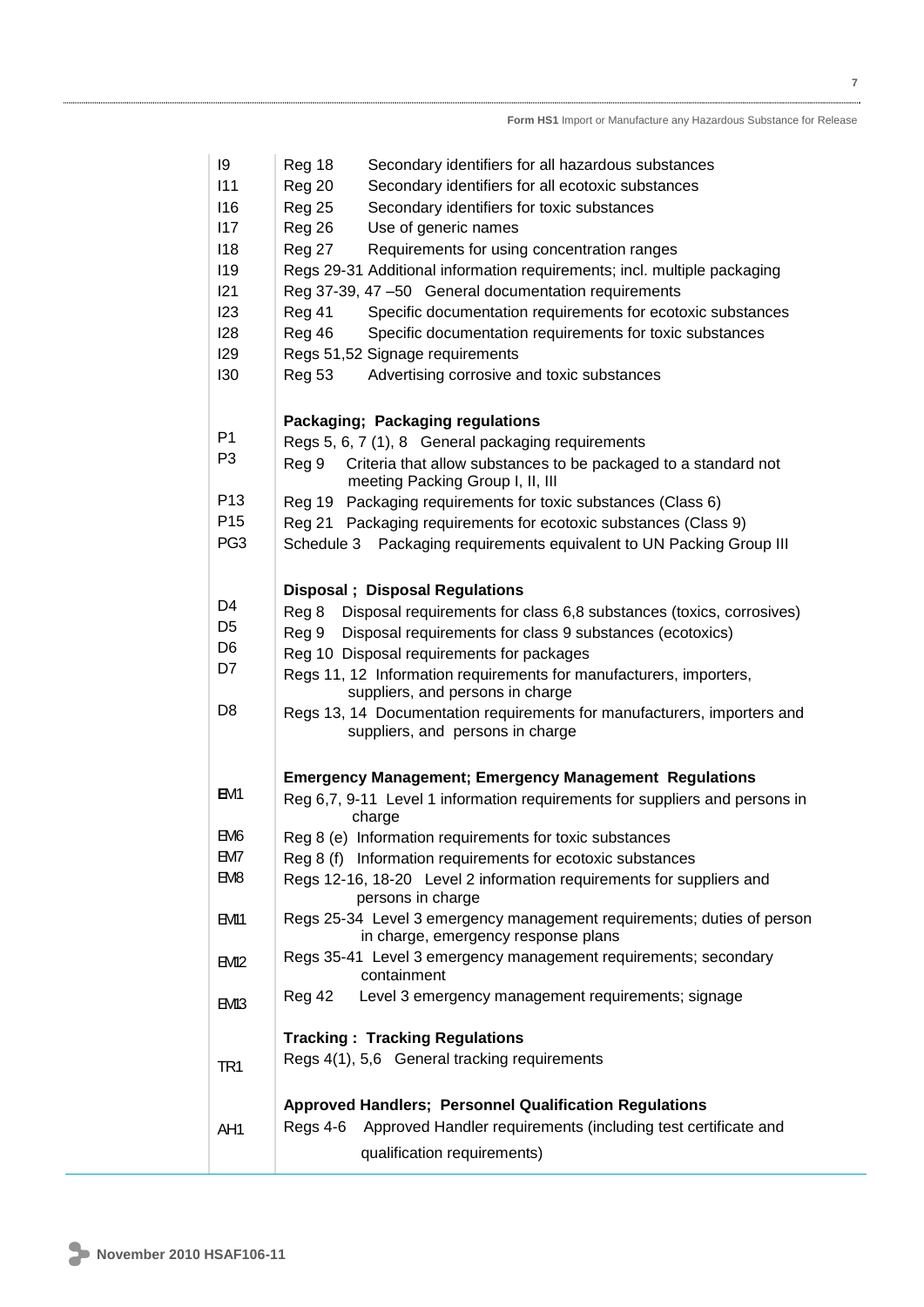| 9                | Reg 18<br>Secondary identifiers for all hazardous substances                                                                                 |
|------------------|----------------------------------------------------------------------------------------------------------------------------------------------|
| 111              | Reg 20<br>Secondary identifiers for all ecotoxic substances                                                                                  |
| 116              | Secondary identifiers for toxic substances                                                                                                   |
| 117              | <b>Reg 25</b><br>Use of generic names                                                                                                        |
| 118              | Reg 26<br>Requirements for using concentration ranges                                                                                        |
|                  | Reg 27                                                                                                                                       |
| 119<br>121       | Regs 29-31 Additional information requirements; incl. multiple packaging                                                                     |
|                  | Reg 37-39, 47-50 General documentation requirements                                                                                          |
| 123              | Reg 41<br>Specific documentation requirements for ecotoxic substances                                                                        |
| 128              | Specific documentation requirements for toxic substances<br>Reg 46                                                                           |
| 129<br>130       | Regs 51,52 Signage requirements                                                                                                              |
|                  | Advertising corrosive and toxic substances<br><b>Reg 53</b>                                                                                  |
|                  | Packaging; Packaging regulations                                                                                                             |
| P <sub>1</sub>   | Regs 5, 6, 7 (1), 8 General packaging requirements                                                                                           |
| P <sub>3</sub>   | Criteria that allow substances to be packaged to a standard not<br>Reg 9<br>meeting Packing Group I, II, III                                 |
| P <sub>13</sub>  | Reg 19 Packaging requirements for toxic substances (Class 6)                                                                                 |
| P <sub>15</sub>  | Reg 21 Packaging requirements for ecotoxic substances (Class 9)                                                                              |
| PG <sub>3</sub>  | Packaging requirements equivalent to UN Packing Group III<br>Schedule 3                                                                      |
|                  |                                                                                                                                              |
|                  | <b>Disposal</b> ; Disposal Regulations                                                                                                       |
| D <sub>4</sub>   | Reg 8<br>Disposal requirements for class 6,8 substances (toxics, corrosives)                                                                 |
| D <sub>5</sub>   | Disposal requirements for class 9 substances (ecotoxics)<br>Reg 9                                                                            |
| D <sub>6</sub>   | Reg 10 Disposal requirements for packages                                                                                                    |
| D7               | Regs 11, 12 Information requirements for manufacturers, importers,                                                                           |
| D <sub>8</sub>   | suppliers, and persons in charge<br>Regs 13, 14 Documentation requirements for manufacturers, importers and                                  |
|                  | suppliers, and persons in charge                                                                                                             |
|                  |                                                                                                                                              |
| EM1              | <b>Emergency Management; Emergency Management Regulations</b><br>Reg 6,7, 9-11 Level 1 information requirements for suppliers and persons in |
|                  | charge                                                                                                                                       |
| EM <sub>6</sub>  | Reg 8 (e) Information requirements for toxic substances                                                                                      |
| BM7              | Reg 8 (f) Information requirements for ecotoxic substances                                                                                   |
| EM8              | Regs 12-16, 18-20 Level 2 information requirements for suppliers and<br>persons in charge                                                    |
| EM11             | Regs 25-34 Level 3 emergency management requirements; duties of person<br>in charge, emergency response plans                                |
| EM2              | Regs 35-41 Level 3 emergency management requirements; secondary<br>containment                                                               |
| EM <sub>13</sub> | Level 3 emergency management requirements; signage<br>Reg 42                                                                                 |
|                  | <b>Tracking: Tracking Regulations</b>                                                                                                        |
| TR <sub>1</sub>  | Regs 4(1), 5,6 General tracking requirements                                                                                                 |
|                  | <b>Approved Handlers; Personnel Qualification Regulations</b>                                                                                |
| AH1              | Approved Handler requirements (including test certificate and<br>Regs 4-6                                                                    |
|                  | qualification requirements)                                                                                                                  |
|                  |                                                                                                                                              |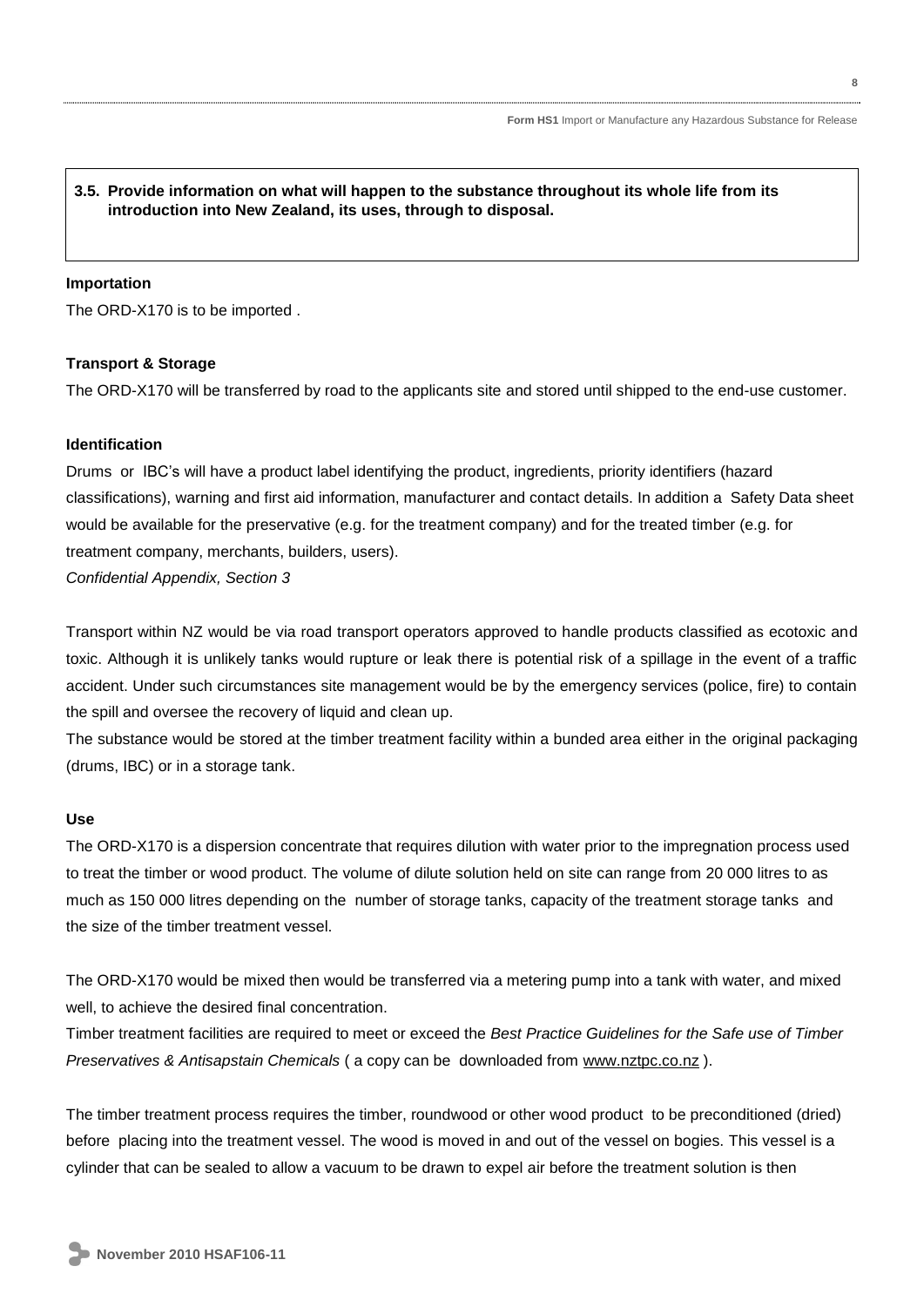# **3.5. Provide information on what will happen to the substance throughout its whole life from its introduction into New Zealand, its uses, through to disposal.**

## **Importation**

The ORD-X170 is to be imported .

# **Transport & Storage**

The ORD-X170 will be transferred by road to the applicants site and stored until shipped to the end-use customer.

### **Identification**

Drums or IBC's will have a product label identifying the product, ingredients, priority identifiers (hazard classifications), warning and first aid information, manufacturer and contact details. In addition a Safety Data sheet would be available for the preservative (e.g. for the treatment company) and for the treated timber (e.g. for treatment company, merchants, builders, users). *Confidential Appendix, Section 3*

Transport within NZ would be via road transport operators approved to handle products classified as ecotoxic and toxic. Although it is unlikely tanks would rupture or leak there is potential risk of a spillage in the event of a traffic accident. Under such circumstances site management would be by the emergency services (police, fire) to contain the spill and oversee the recovery of liquid and clean up.

The substance would be stored at the timber treatment facility within a bunded area either in the original packaging (drums, IBC) or in a storage tank.

## **Use**

The ORD-X170 is a dispersion concentrate that requires dilution with water prior to the impregnation process used to treat the timber or wood product. The volume of dilute solution held on site can range from 20 000 litres to as much as 150 000 litres depending on the number of storage tanks, capacity of the treatment storage tanks and the size of the timber treatment vessel.

The ORD-X170 would be mixed then would be transferred via a metering pump into a tank with water, and mixed well, to achieve the desired final concentration.

Timber treatment facilities are required to meet or exceed the *Best Practice Guidelines for the Safe use of Timber Preservatives & Antisapstain Chemicals* (a copy can be downloaded from [www.nztpc.co.nz](http://www.nztpc.co.nz/)).

The timber treatment process requires the timber, roundwood or other wood product to be preconditioned (dried) before placing into the treatment vessel. The wood is moved in and out of the vessel on bogies. This vessel is a cylinder that can be sealed to allow a vacuum to be drawn to expel air before the treatment solution is then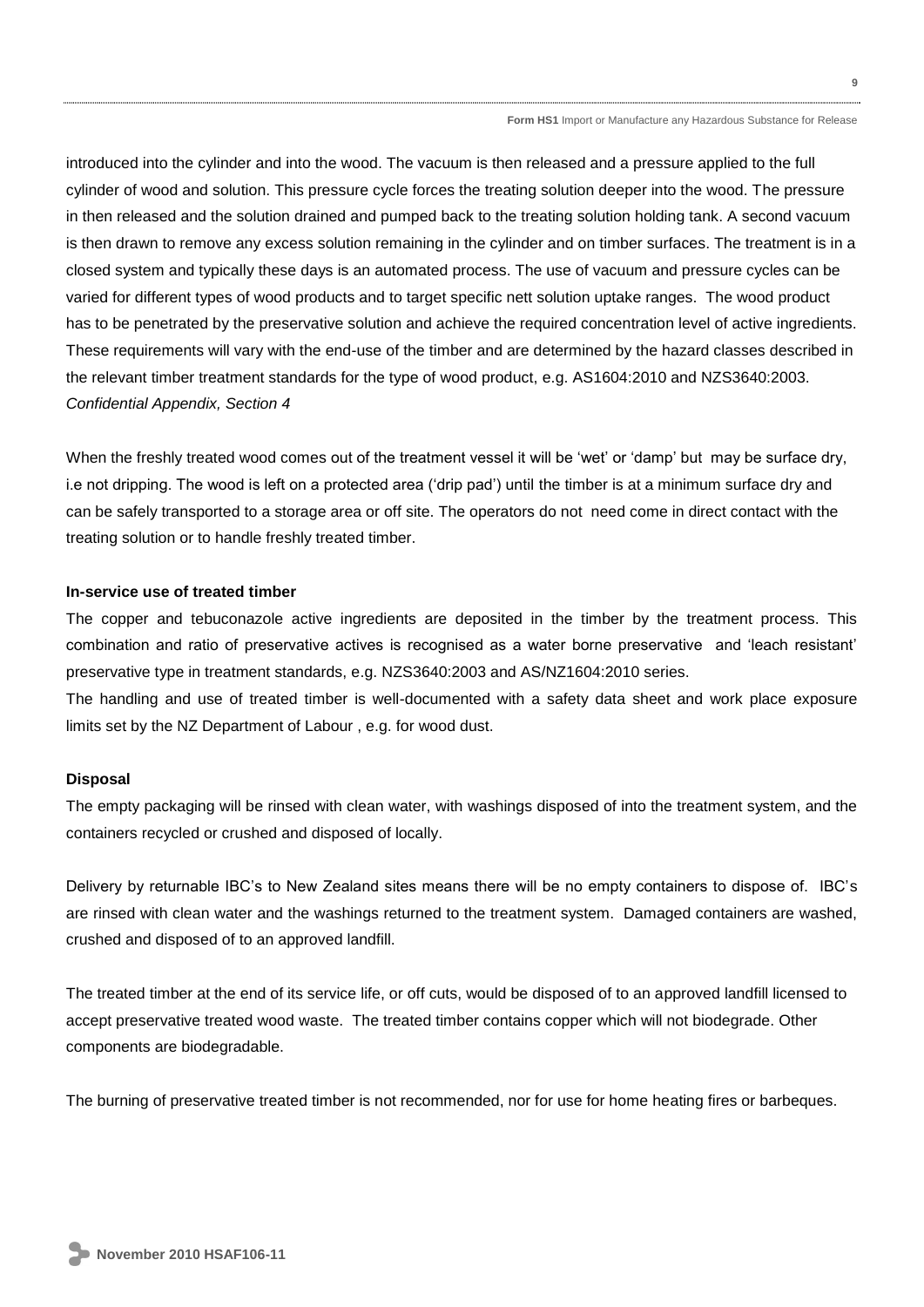introduced into the cylinder and into the wood. The vacuum is then released and a pressure applied to the full cylinder of wood and solution. This pressure cycle forces the treating solution deeper into the wood. The pressure in then released and the solution drained and pumped back to the treating solution holding tank. A second vacuum is then drawn to remove any excess solution remaining in the cylinder and on timber surfaces. The treatment is in a closed system and typically these days is an automated process. The use of vacuum and pressure cycles can be varied for different types of wood products and to target specific nett solution uptake ranges. The wood product has to be penetrated by the preservative solution and achieve the required concentration level of active ingredients. These requirements will vary with the end-use of the timber and are determined by the hazard classes described in the relevant timber treatment standards for the type of wood product, e.g. AS1604:2010 and NZS3640:2003. *Confidential Appendix, Section 4*

When the freshly treated wood comes out of the treatment vessel it will be 'wet' or 'damp' but may be surface dry, i.e not dripping. The wood is left on a protected area ('drip pad') until the timber is at a minimum surface dry and can be safely transported to a storage area or off site. The operators do not need come in direct contact with the treating solution or to handle freshly treated timber.

# **In-service use of treated timber**

The copper and tebuconazole active ingredients are deposited in the timber by the treatment process. This combination and ratio of preservative actives is recognised as a water borne preservative and 'leach resistant' preservative type in treatment standards, e.g. NZS3640:2003 and AS/NZ1604:2010 series.

The handling and use of treated timber is well-documented with a safety data sheet and work place exposure limits set by the NZ Department of Labour , e.g. for wood dust.

#### **Disposal**

The empty packaging will be rinsed with clean water, with washings disposed of into the treatment system, and the containers recycled or crushed and disposed of locally.

Delivery by returnable IBC's to New Zealand sites means there will be no empty containers to dispose of. IBC's are rinsed with clean water and the washings returned to the treatment system. Damaged containers are washed, crushed and disposed of to an approved landfill.

The treated timber at the end of its service life, or off cuts, would be disposed of to an approved landfill licensed to accept preservative treated wood waste. The treated timber contains copper which will not biodegrade. Other components are biodegradable.

The burning of preservative treated timber is not recommended, nor for use for home heating fires or barbeques.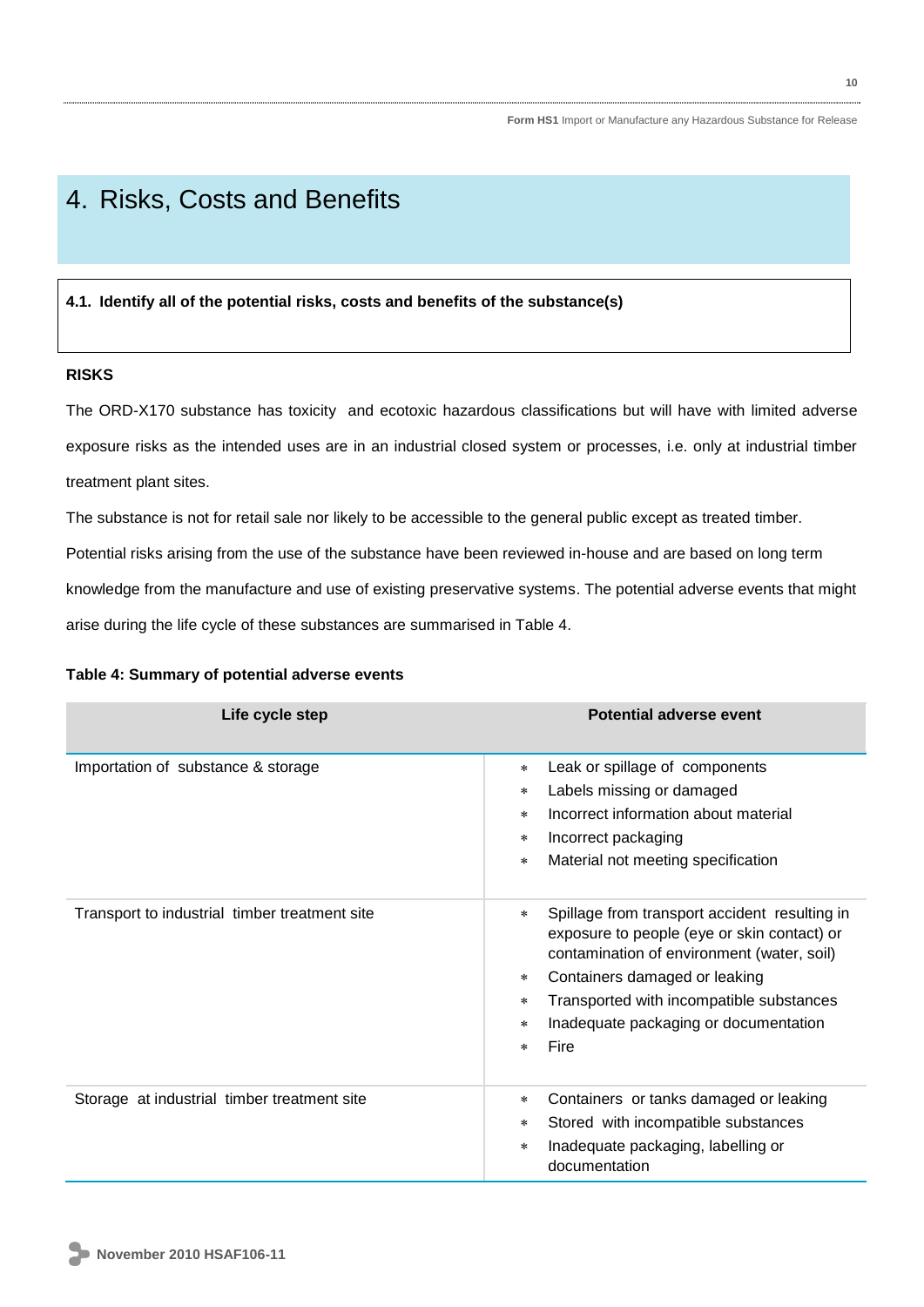# 4. Risks, Costs and Benefits

# **4.1. Identify all of the potential risks, costs and benefits of the substance(s)**

# **RISKS**

The ORD-X170 substance has toxicity and ecotoxic hazardous classifications but will have with limited adverse exposure risks as the intended uses are in an industrial closed system or processes, i.e. only at industrial timber treatment plant sites.

The substance is not for retail sale nor likely to be accessible to the general public except as treated timber.

Potential risks arising from the use of the substance have been reviewed in-house and are based on long term

knowledge from the manufacture and use of existing preservative systems. The potential adverse events that might

arise during the life cycle of these substances are summarised in Table 4.

| Life cycle step                               | Potential adverse event                                                                                                                                                                                                                                                                                                      |
|-----------------------------------------------|------------------------------------------------------------------------------------------------------------------------------------------------------------------------------------------------------------------------------------------------------------------------------------------------------------------------------|
| Importation of substance & storage            | Leak or spillage of components<br>$\star$<br>Labels missing or damaged<br>$\star$<br>Incorrect information about material<br>$\ast$<br>Incorrect packaging<br>$\ast$<br>Material not meeting specification<br>$^{\ast}$                                                                                                      |
| Transport to industrial timber treatment site | Spillage from transport accident resulting in<br>$\ast$<br>exposure to people (eye or skin contact) or<br>contamination of environment (water, soil)<br>Containers damaged or leaking<br>$\star$<br>Transported with incompatible substances<br>$\ast$<br>Inadequate packaging or documentation<br>$\ast$<br>Fire<br>$\star$ |
| Storage at industrial timber treatment site   | Containers or tanks damaged or leaking<br>$\star$<br>Stored with incompatible substances<br>$\ast$<br>Inadequate packaging, labelling or<br>$\ast$<br>documentation                                                                                                                                                          |

# **Table 4: Summary of potential adverse events**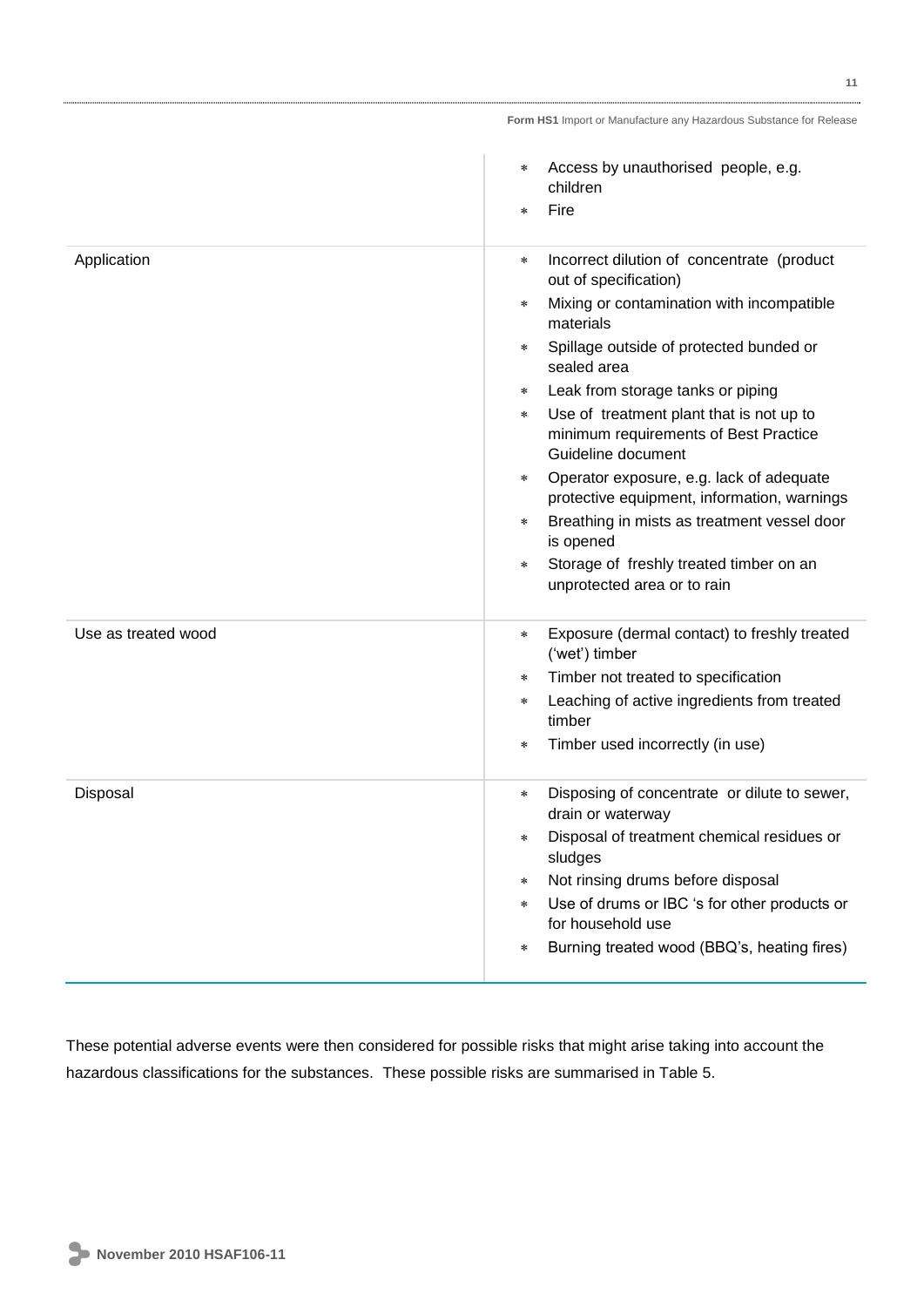|                     | Access by unauthorised people, e.g.<br>$\ast$<br>children<br>Fire<br>$\star$                                      |
|---------------------|-------------------------------------------------------------------------------------------------------------------|
| Application         | Incorrect dilution of concentrate (product<br>$\ast$<br>out of specification)                                     |
|                     | Mixing or contamination with incompatible<br>$\star$<br>materials                                                 |
|                     | Spillage outside of protected bunded or<br>$\star$<br>sealed area                                                 |
|                     | Leak from storage tanks or piping<br>$\ast$                                                                       |
|                     | Use of treatment plant that is not up to<br>$\ast$<br>minimum requirements of Best Practice<br>Guideline document |
|                     | Operator exposure, e.g. lack of adequate<br>$\star$<br>protective equipment, information, warnings                |
|                     | Breathing in mists as treatment vessel door<br>$\star$<br>is opened                                               |
|                     | Storage of freshly treated timber on an<br>$\ast$<br>unprotected area or to rain                                  |
| Use as treated wood | Exposure (dermal contact) to freshly treated<br>$\star$<br>('wet') timber                                         |
|                     | Timber not treated to specification<br>$\ast$                                                                     |
|                     | Leaching of active ingredients from treated<br>$\ast$<br>timber                                                   |
|                     | Timber used incorrectly (in use)<br>$\star$                                                                       |
| Disposal            | Disposing of concentrate or dilute to sewer,<br>$\star$<br>drain or waterway                                      |
|                     | Disposal of treatment chemical residues or<br>sludges                                                             |
|                     | Not rinsing drums before disposal<br>$\ast$                                                                       |
|                     | Use of drums or IBC 's for other products or<br>$\ast$<br>for household use                                       |
|                     | Burning treated wood (BBQ's, heating fires)<br>$\ast$                                                             |

These potential adverse events were then considered for possible risks that might arise taking into account the hazardous classifications for the substances. These possible risks are summarised in Table 5.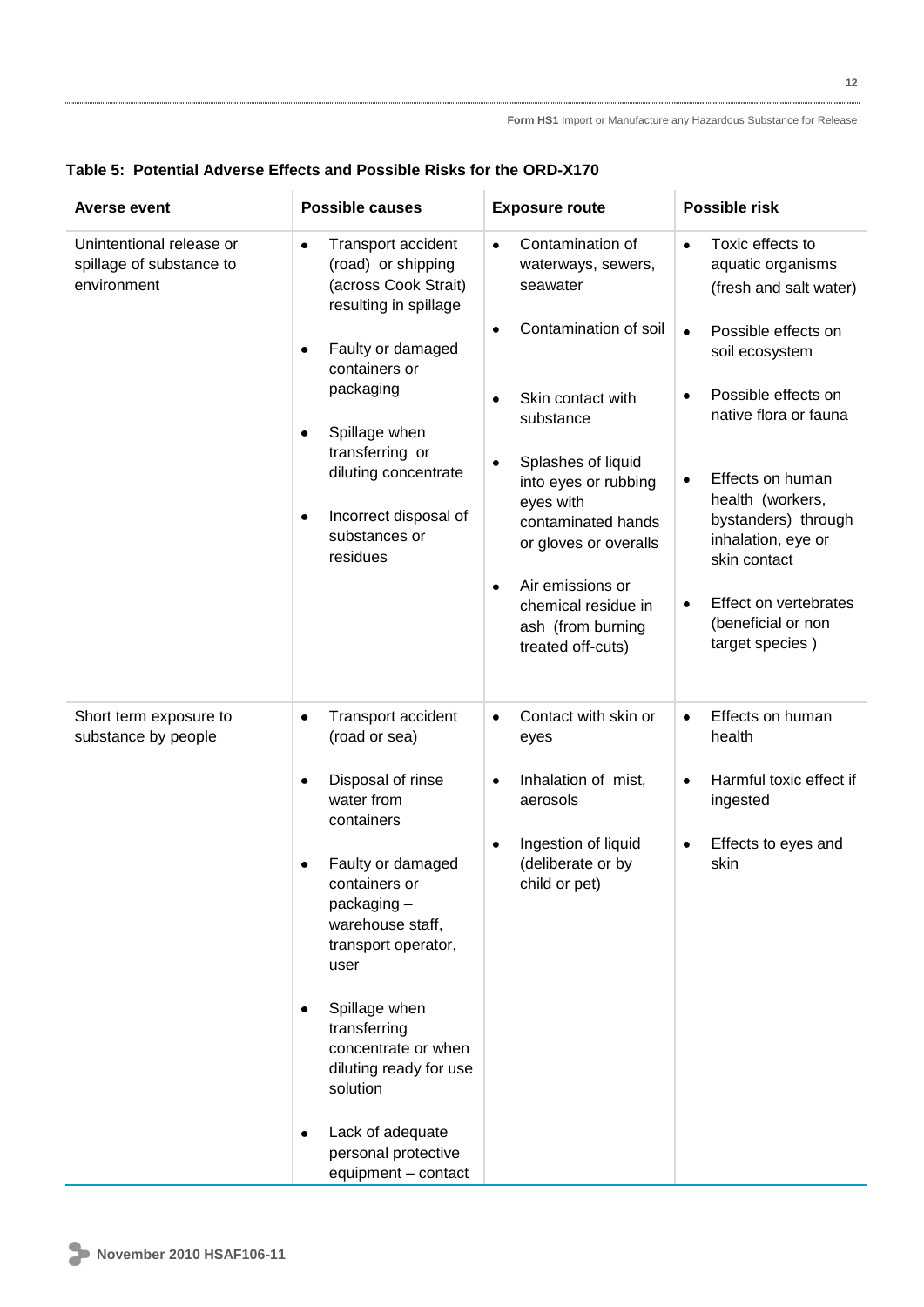# **Table 5: Potential Adverse Effects and Possible Risks for the ORD-X170**

| <b>Averse event</b>                                                 | <b>Possible causes</b>                                                                                                                                                                                                                                                                                                                                                                                                       | <b>Exposure route</b>                                                                                                                                                                                                                                                                                                                            | Possible risk                                                                                                                                                                                                                                                                                                                                                                    |
|---------------------------------------------------------------------|------------------------------------------------------------------------------------------------------------------------------------------------------------------------------------------------------------------------------------------------------------------------------------------------------------------------------------------------------------------------------------------------------------------------------|--------------------------------------------------------------------------------------------------------------------------------------------------------------------------------------------------------------------------------------------------------------------------------------------------------------------------------------------------|----------------------------------------------------------------------------------------------------------------------------------------------------------------------------------------------------------------------------------------------------------------------------------------------------------------------------------------------------------------------------------|
| Unintentional release or<br>spillage of substance to<br>environment | Transport accident<br>$\bullet$<br>(road) or shipping<br>(across Cook Strait)<br>resulting in spillage<br>Faulty or damaged<br>$\bullet$<br>containers or<br>packaging<br>Spillage when<br>$\bullet$<br>transferring or<br>diluting concentrate<br>Incorrect disposal of<br>$\bullet$<br>substances or<br>residues                                                                                                           | Contamination of<br>$\bullet$<br>waterways, sewers,<br>seawater<br>Contamination of soil<br>٠<br>Skin contact with<br>substance<br>Splashes of liquid<br>٠<br>into eyes or rubbing<br>eyes with<br>contaminated hands<br>or gloves or overalls<br>Air emissions or<br>$\bullet$<br>chemical residue in<br>ash (from burning<br>treated off-cuts) | Toxic effects to<br>$\bullet$<br>aquatic organisms<br>(fresh and salt water)<br>Possible effects on<br>$\bullet$<br>soil ecosystem<br>Possible effects on<br>٠<br>native flora or fauna<br>Effects on human<br>$\bullet$<br>health (workers,<br>bystanders) through<br>inhalation, eye or<br>skin contact<br>Effect on vertebrates<br>٠<br>(beneficial or non<br>target species) |
| Short term exposure to<br>substance by people                       | Transport accident<br>$\bullet$<br>(road or sea)<br>Disposal of rinse<br>$\bullet$<br>water from<br>containers<br>Faulty or damaged<br>$\bullet$<br>containers or<br>packaging-<br>warehouse staff,<br>transport operator,<br>user<br>Spillage when<br>$\bullet$<br>transferring<br>concentrate or when<br>diluting ready for use<br>solution<br>Lack of adequate<br>$\bullet$<br>personal protective<br>equipment - contact | Contact with skin or<br>$\bullet$<br>eyes<br>Inhalation of mist,<br>$\bullet$<br>aerosols<br>Ingestion of liquid<br>$\bullet$<br>(deliberate or by<br>child or pet)                                                                                                                                                                              | Effects on human<br>$\bullet$<br>health<br>Harmful toxic effect if<br>$\bullet$<br>ingested<br>Effects to eyes and<br>٠<br>skin                                                                                                                                                                                                                                                  |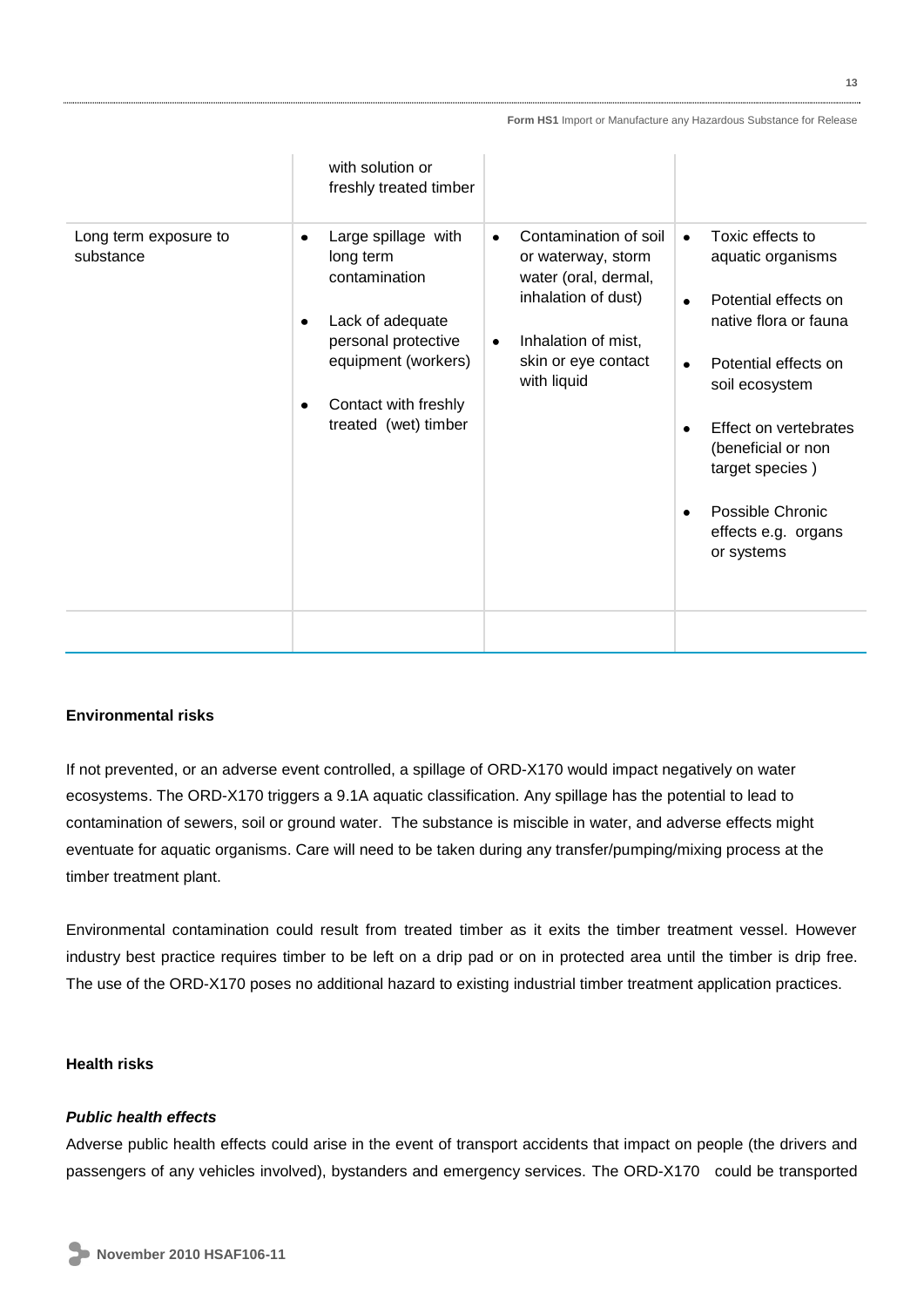|                                    | with solution or<br>freshly treated timber                                                                                                                                            |                                                                                                                                                                                   |                                                                                                                                                                                                                                                                                       |
|------------------------------------|---------------------------------------------------------------------------------------------------------------------------------------------------------------------------------------|-----------------------------------------------------------------------------------------------------------------------------------------------------------------------------------|---------------------------------------------------------------------------------------------------------------------------------------------------------------------------------------------------------------------------------------------------------------------------------------|
| Long term exposure to<br>substance | Large spillage with<br>٠<br>long term<br>contamination<br>Lack of adequate<br>$\bullet$<br>personal protective<br>equipment (workers)<br>Contact with freshly<br>treated (wet) timber | Contamination of soil<br>$\bullet$<br>or waterway, storm<br>water (oral, dermal,<br>inhalation of dust)<br>Inhalation of mist,<br>$\bullet$<br>skin or eye contact<br>with liquid | Toxic effects to<br>$\bullet$<br>aquatic organisms<br>Potential effects on<br>$\bullet$<br>native flora or fauna<br>Potential effects on<br>soil ecosystem<br>Effect on vertebrates<br>(beneficial or non<br>target species)<br>Possible Chronic<br>effects e.g. organs<br>or systems |
|                                    |                                                                                                                                                                                       |                                                                                                                                                                                   |                                                                                                                                                                                                                                                                                       |

# **Environmental risks**

If not prevented, or an adverse event controlled, a spillage of ORD-X170 would impact negatively on water ecosystems. The ORD-X170 triggers a 9.1A aquatic classification. Any spillage has the potential to lead to contamination of sewers, soil or ground water. The substance is miscible in water, and adverse effects might eventuate for aquatic organisms. Care will need to be taken during any transfer/pumping/mixing process at the timber treatment plant.

Environmental contamination could result from treated timber as it exits the timber treatment vessel. However industry best practice requires timber to be left on a drip pad or on in protected area until the timber is drip free. The use of the ORD-X170 poses no additional hazard to existing industrial timber treatment application practices.

# **Health risks**

# *Public health effects*

Adverse public health effects could arise in the event of transport accidents that impact on people (the drivers and passengers of any vehicles involved), bystanders and emergency services. The ORD-X170 could be transported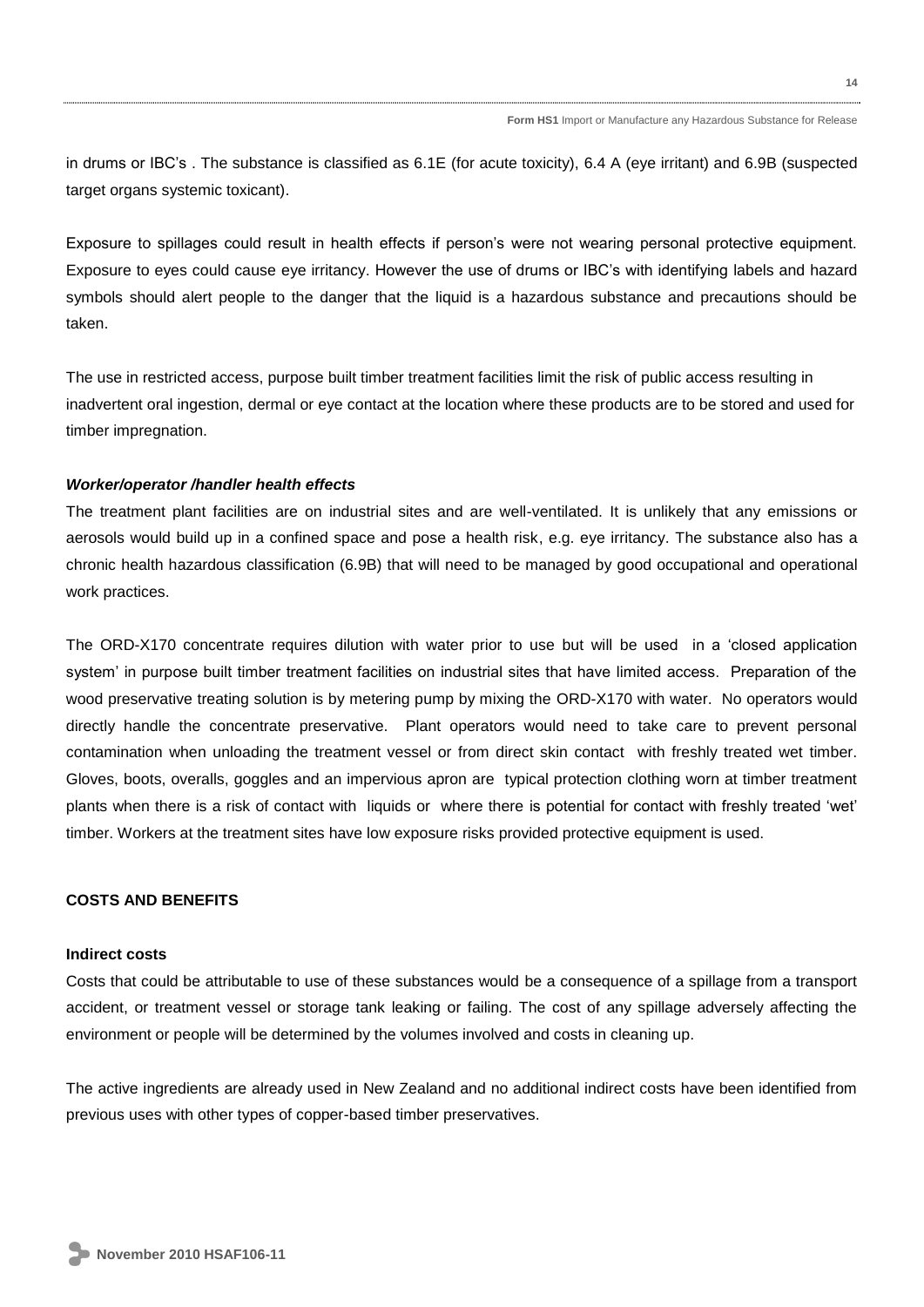in drums or IBC's . The substance is classified as 6.1E (for acute toxicity), 6.4 A (eye irritant) and 6.9B (suspected target organs systemic toxicant).

Exposure to spillages could result in health effects if person's were not wearing personal protective equipment. Exposure to eyes could cause eye irritancy. However the use of drums or IBC's with identifying labels and hazard symbols should alert people to the danger that the liquid is a hazardous substance and precautions should be taken.

The use in restricted access, purpose built timber treatment facilities limit the risk of public access resulting in inadvertent oral ingestion, dermal or eye contact at the location where these products are to be stored and used for timber impregnation.

### *Worker/operator /handler health effects*

The treatment plant facilities are on industrial sites and are well-ventilated. It is unlikely that any emissions or aerosols would build up in a confined space and pose a health risk, e.g. eye irritancy. The substance also has a chronic health hazardous classification (6.9B) that will need to be managed by good occupational and operational work practices.

The ORD-X170 concentrate requires dilution with water prior to use but will be used in a 'closed application system' in purpose built timber treatment facilities on industrial sites that have limited access. Preparation of the wood preservative treating solution is by metering pump by mixing the ORD-X170 with water. No operators would directly handle the concentrate preservative. Plant operators would need to take care to prevent personal contamination when unloading the treatment vessel or from direct skin contact with freshly treated wet timber. Gloves, boots, overalls, goggles and an impervious apron are typical protection clothing worn at timber treatment plants when there is a risk of contact with liquids or where there is potential for contact with freshly treated 'wet' timber. Workers at the treatment sites have low exposure risks provided protective equipment is used.

# **COSTS AND BENEFITS**

#### **Indirect costs**

Costs that could be attributable to use of these substances would be a consequence of a spillage from a transport accident, or treatment vessel or storage tank leaking or failing. The cost of any spillage adversely affecting the environment or people will be determined by the volumes involved and costs in cleaning up.

The active ingredients are already used in New Zealand and no additional indirect costs have been identified from previous uses with other types of copper-based timber preservatives.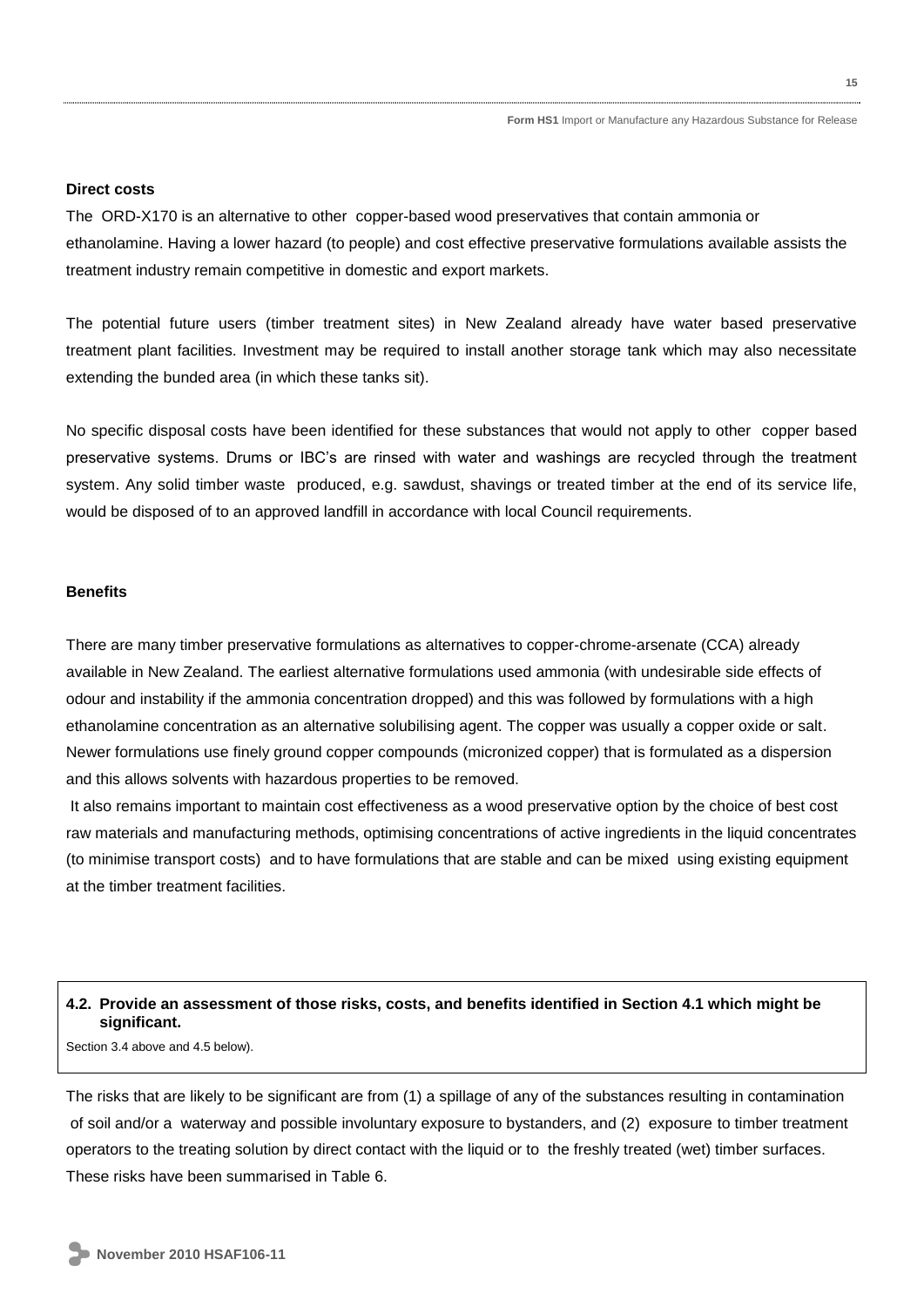# **Direct costs**

The ORD-X170 is an alternative to other copper-based wood preservatives that contain ammonia or ethanolamine. Having a lower hazard (to people) and cost effective preservative formulations available assists the treatment industry remain competitive in domestic and export markets.

The potential future users (timber treatment sites) in New Zealand already have water based preservative treatment plant facilities. Investment may be required to install another storage tank which may also necessitate extending the bunded area (in which these tanks sit).

No specific disposal costs have been identified for these substances that would not apply to other copper based preservative systems. Drums or IBC's are rinsed with water and washings are recycled through the treatment system. Any solid timber waste produced, e.g. sawdust, shavings or treated timber at the end of its service life, would be disposed of to an approved landfill in accordance with local Council requirements.

### **Benefits**

There are many timber preservative formulations as alternatives to copper-chrome-arsenate (CCA) already available in New Zealand. The earliest alternative formulations used ammonia (with undesirable side effects of odour and instability if the ammonia concentration dropped) and this was followed by formulations with a high ethanolamine concentration as an alternative solubilising agent. The copper was usually a copper oxide or salt. Newer formulations use finely ground copper compounds (micronized copper) that is formulated as a dispersion and this allows solvents with hazardous properties to be removed.

It also remains important to maintain cost effectiveness as a wood preservative option by the choice of best cost raw materials and manufacturing methods, optimising concentrations of active ingredients in the liquid concentrates (to minimise transport costs) and to have formulations that are stable and can be mixed using existing equipment at the timber treatment facilities.

# **4.2. Provide an assessment of those risks, costs, and benefits identified in Section 4.1 which might be significant.**

Section 3.4 above and 4.5 below).

The risks that are likely to be significant are from (1) a spillage of any of the substances resulting in contamination of soil and/or a waterway and possible involuntary exposure to bystanders, and (2) exposure to timber treatment operators to the treating solution by direct contact with the liquid or to the freshly treated (wet) timber surfaces. These risks have been summarised in Table 6.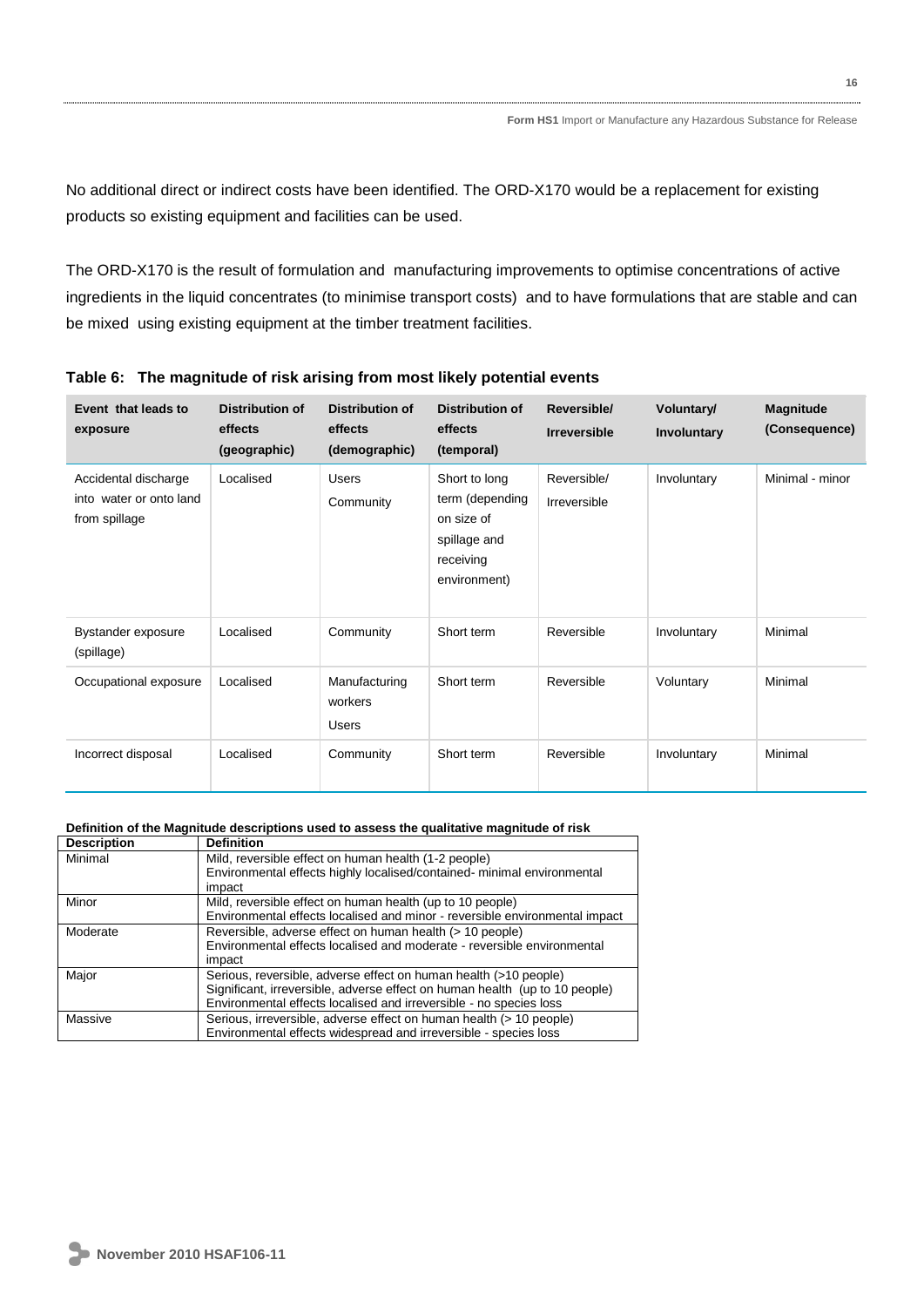No additional direct or indirect costs have been identified. The ORD-X170 would be a replacement for existing products so existing equipment and facilities can be used.

The ORD-X170 is the result of formulation and manufacturing improvements to optimise concentrations of active ingredients in the liquid concentrates (to minimise transport costs) and to have formulations that are stable and can be mixed using existing equipment at the timber treatment facilities.

| Event that leads to<br>exposure                                  | <b>Distribution of</b><br>effects<br>(geographic) | <b>Distribution of</b><br>effects<br>(demographic) | <b>Distribution of</b><br>effects<br>(temporal)                                             | Reversible/<br><b>Irreversible</b> | <b>Voluntary/</b><br>Involuntary | <b>Magnitude</b><br>(Consequence) |
|------------------------------------------------------------------|---------------------------------------------------|----------------------------------------------------|---------------------------------------------------------------------------------------------|------------------------------------|----------------------------------|-----------------------------------|
| Accidental discharge<br>into water or onto land<br>from spillage | Localised                                         | Users<br>Community                                 | Short to long<br>term (depending<br>on size of<br>spillage and<br>receiving<br>environment) | Reversible/<br>Irreversible        | Involuntary                      | Minimal - minor                   |
| Bystander exposure<br>(spillage)                                 | Localised                                         | Community                                          | Short term                                                                                  | Reversible                         | Involuntary                      | Minimal                           |
| Occupational exposure                                            | Localised                                         | Manufacturing<br>workers<br><b>Users</b>           | Short term                                                                                  | Reversible                         | Voluntary                        | Minimal                           |
| Incorrect disposal                                               | Localised                                         | Community                                          | Short term                                                                                  | Reversible                         | Involuntary                      | Minimal                           |

**Table 6: The magnitude of risk arising from most likely potential events**

#### **Definition of the Magnitude descriptions used to assess the qualitative magnitude of risk**

| <b>Definition</b>                                                           |
|-----------------------------------------------------------------------------|
| Mild, reversible effect on human health (1-2 people)                        |
| Environmental effects highly localised/contained- minimal environmental     |
| impact                                                                      |
| Mild, reversible effect on human health (up to 10 people)                   |
| Environmental effects localised and minor - reversible environmental impact |
| Reversible, adverse effect on human health (> 10 people)                    |
| Environmental effects localised and moderate - reversible environmental     |
| impact                                                                      |
| Serious, reversible, adverse effect on human health (>10 people)            |
| Significant, irreversible, adverse effect on human health (up to 10 people) |
| Environmental effects localised and irreversible - no species loss          |
| Serious, irreversible, adverse effect on human health (> 10 people)         |
| Environmental effects widespread and irreversible - species loss            |
|                                                                             |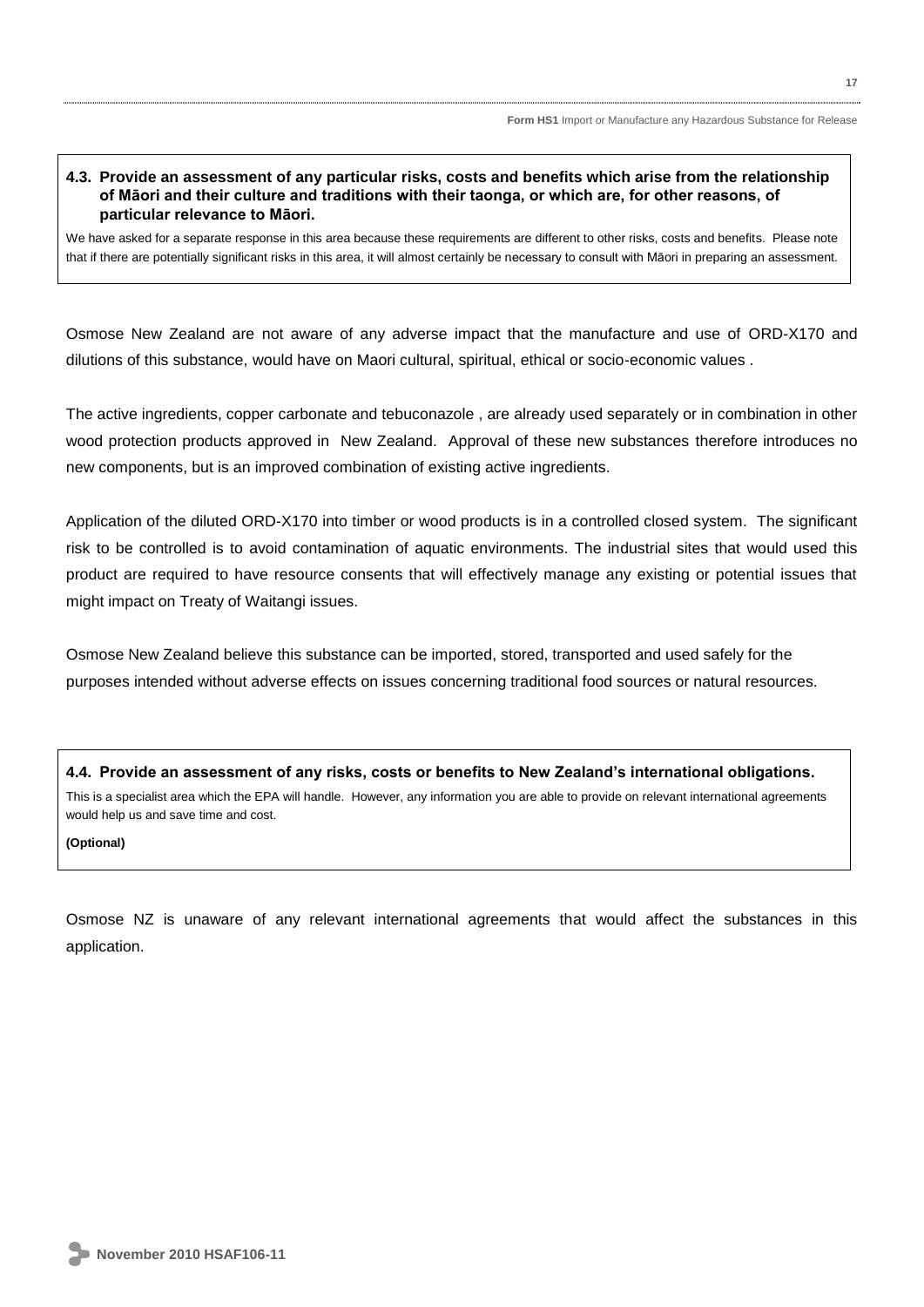# **4.3. Provide an assessment of any particular risks, costs and benefits which arise from the relationship of Māori and their culture and traditions with their taonga, or which are, for other reasons, of particular relevance to Māori.**

We have asked for a separate response in this area because these requirements are different to other risks, costs and benefits. Please note that if there are potentially significant risks in this area, it will almost certainly be necessary to consult with Māori in preparing an assessment.

Osmose New Zealand are not aware of any adverse impact that the manufacture and use of ORD-X170 and dilutions of this substance, would have on Maori cultural, spiritual, ethical or socio-economic values .

The active ingredients, copper carbonate and tebuconazole , are already used separately or in combination in other wood protection products approved in New Zealand. Approval of these new substances therefore introduces no new components, but is an improved combination of existing active ingredients.

Application of the diluted ORD-X170 into timber or wood products is in a controlled closed system. The significant risk to be controlled is to avoid contamination of aquatic environments. The industrial sites that would used this product are required to have resource consents that will effectively manage any existing or potential issues that might impact on Treaty of Waitangi issues.

Osmose New Zealand believe this substance can be imported, stored, transported and used safely for the purposes intended without adverse effects on issues concerning traditional food sources or natural resources.

**4.4. Provide an assessment of any risks, costs or benefits to New Zealand's international obligations.** This is a specialist area which the EPA will handle. However, any information you are able to provide on relevant international agreements would help us and save time and cost.

**(Optional)** 

Osmose NZ is unaware of any relevant international agreements that would affect the substances in this application.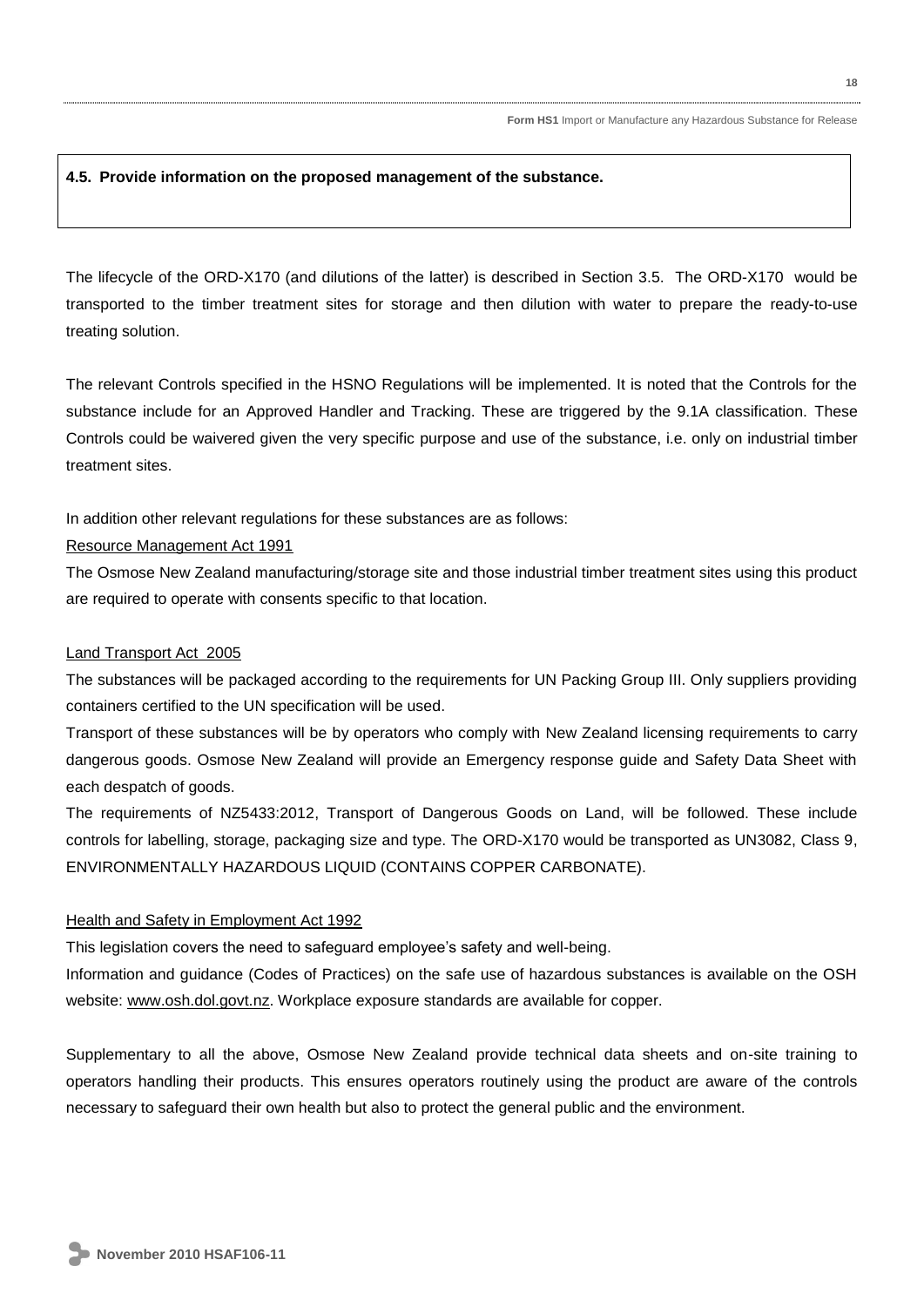# **4.5. Provide information on the proposed management of the substance.**

The lifecycle of the ORD-X170 (and dilutions of the latter) is described in Section 3.5. The ORD-X170 would be transported to the timber treatment sites for storage and then dilution with water to prepare the ready-to-use treating solution.

The relevant Controls specified in the HSNO Regulations will be implemented. It is noted that the Controls for the substance include for an Approved Handler and Tracking. These are triggered by the 9.1A classification. These Controls could be waivered given the very specific purpose and use of the substance, i.e. only on industrial timber treatment sites.

In addition other relevant regulations for these substances are as follows:

# Resource Management Act 1991

The Osmose New Zealand manufacturing/storage site and those industrial timber treatment sites using this product are required to operate with consents specific to that location.

# Land Transport Act 2005

The substances will be packaged according to the requirements for UN Packing Group III. Only suppliers providing containers certified to the UN specification will be used.

Transport of these substances will be by operators who comply with New Zealand licensing requirements to carry dangerous goods. Osmose New Zealand will provide an Emergency response guide and Safety Data Sheet with each despatch of goods.

The requirements of NZ5433:2012, Transport of Dangerous Goods on Land, will be followed. These include controls for labelling, storage, packaging size and type. The ORD-X170 would be transported as UN3082, Class 9, ENVIRONMENTALLY HAZARDOUS LIQUID (CONTAINS COPPER CARBONATE).

# Health and Safety in Employment Act 1992

This legislation covers the need to safeguard employee's safety and well-being.

Information and guidance (Codes of Practices) on the safe use of hazardous substances is available on the OSH website: [www.osh.dol.govt.nz.](http://www.osh.dol.govt.nz/) Workplace exposure standards are available for copper.

Supplementary to all the above, Osmose New Zealand provide technical data sheets and on-site training to operators handling their products. This ensures operators routinely using the product are aware of the controls necessary to safeguard their own health but also to protect the general public and the environment.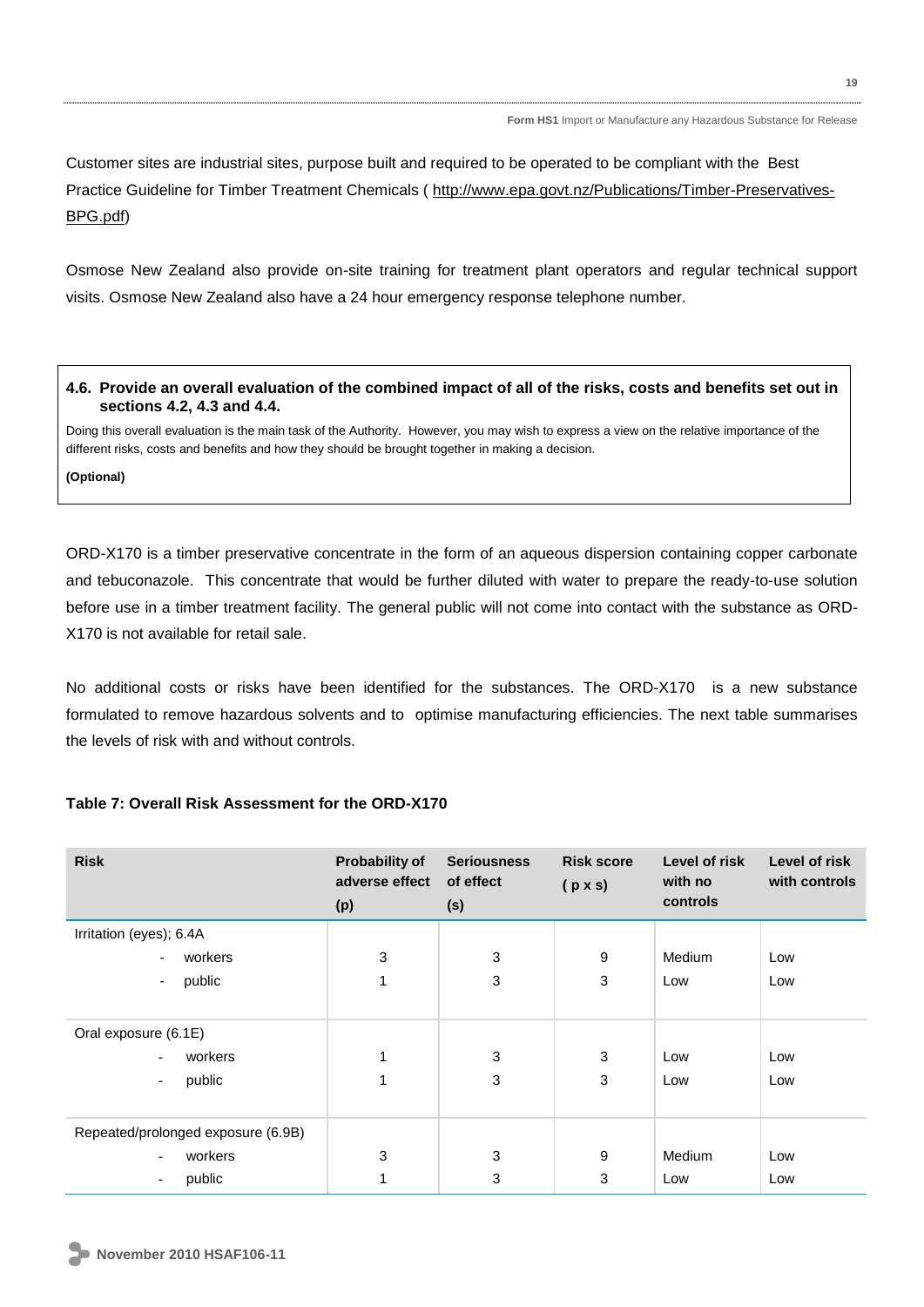Customer sites are industrial sites, purpose built and required to be operated to be compliant with the Best Practice Guideline for Timber Treatment Chemicals ( [http://www.epa.govt.nz/Publications/Timber-Preservatives-](http://www.epa.govt.nz/Publications/Timber-Preservatives-BPG.pdf)[BPG.pdf\)](http://www.epa.govt.nz/Publications/Timber-Preservatives-BPG.pdf)

Osmose New Zealand also provide on-site training for treatment plant operators and regular technical support visits. Osmose New Zealand also have a 24 hour emergency response telephone number.

# **4.6. Provide an overall evaluation of the combined impact of all of the risks, costs and benefits set out in sections 4.2, 4.3 and 4.4.**

Doing this overall evaluation is the main task of the Authority. However, you may wish to express a view on the relative importance of the different risks, costs and benefits and how they should be brought together in making a decision.

**(Optional)** 

ORD-X170 is a timber preservative concentrate in the form of an aqueous dispersion containing copper carbonate and tebuconazole. This concentrate that would be further diluted with water to prepare the ready-to-use solution before use in a timber treatment facility. The general public will not come into contact with the substance as ORD-X170 is not available for retail sale.

No additional costs or risks have been identified for the substances. The ORD-X170 is a new substance formulated to remove hazardous solvents and to optimise manufacturing efficiencies. The next table summarises the levels of risk with and without controls.

# **Table 7: Overall Risk Assessment for the ORD-X170**

| <b>Risk</b>                         | Probability of<br>adverse effect<br>(p) | <b>Seriousness</b><br>of effect<br>(s) | <b>Risk score</b><br>$(p \times s)$ | Level of risk<br>with no<br>controls | Level of risk<br>with controls |
|-------------------------------------|-----------------------------------------|----------------------------------------|-------------------------------------|--------------------------------------|--------------------------------|
| Irritation (eyes); 6.4A             |                                         |                                        |                                     |                                      |                                |
| workers                             | 3                                       | 3                                      | 9                                   | Medium                               | Low                            |
| public<br>$\blacksquare$            | 1                                       | 3                                      | 3                                   | Low                                  | Low                            |
|                                     |                                         |                                        |                                     |                                      |                                |
| Oral exposure (6.1E)                |                                         |                                        |                                     |                                      |                                |
| workers<br>$\overline{\phantom{a}}$ | 1                                       | 3                                      | 3                                   | Low                                  | Low                            |
| public<br>$\overline{\phantom{a}}$  | 1                                       | 3                                      | 3                                   | Low                                  | Low                            |
|                                     |                                         |                                        |                                     |                                      |                                |
| Repeated/prolonged exposure (6.9B)  |                                         |                                        |                                     |                                      |                                |
| workers<br>Ξ.                       | 3                                       | 3                                      | 9                                   | Medium                               | Low                            |
| public<br>$\overline{\phantom{a}}$  | 1                                       | 3                                      | 3                                   | Low                                  | Low                            |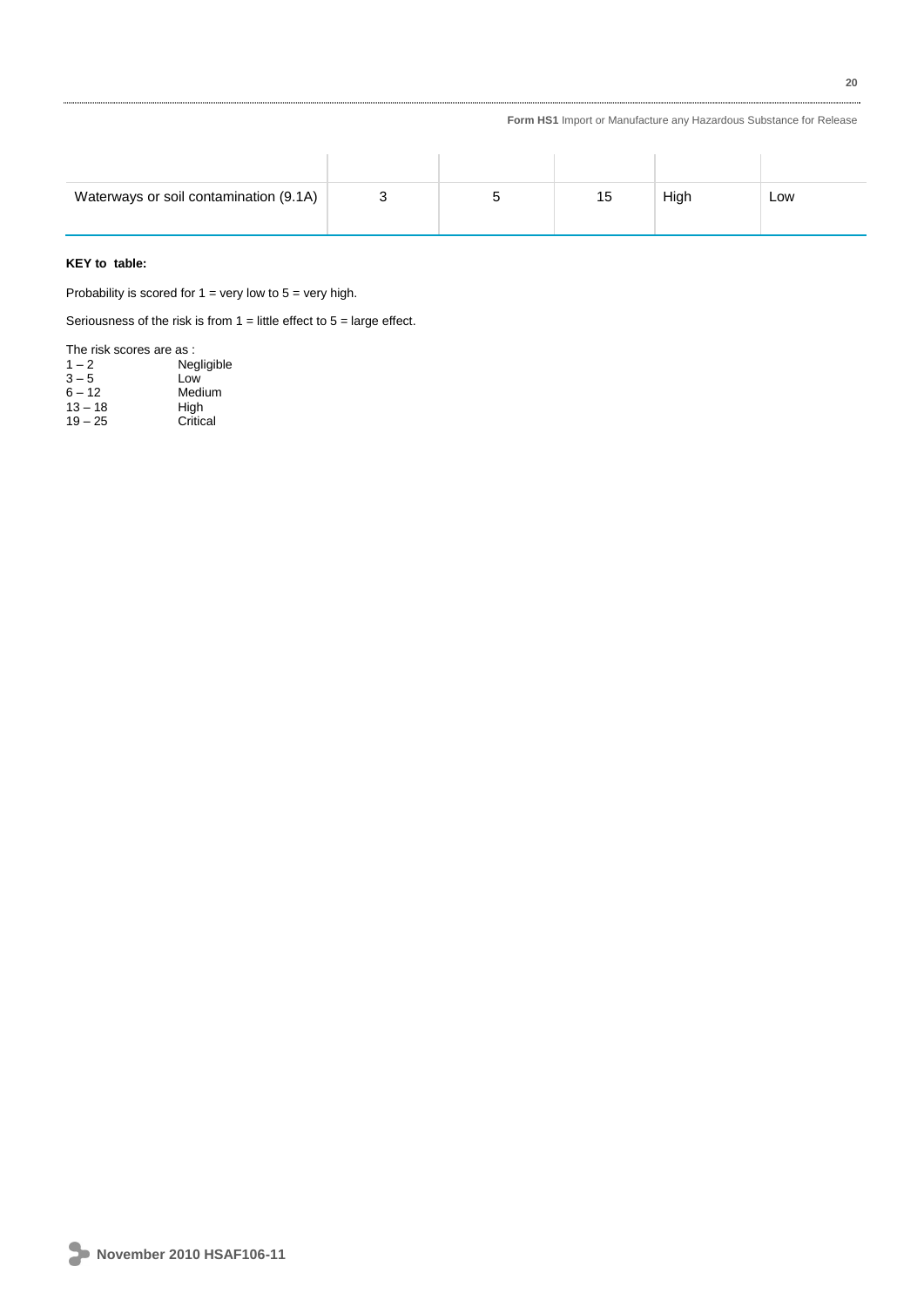| Waterways or soil contamination (9.1A) | ວ | 15 | High | Low |
|----------------------------------------|---|----|------|-----|

# **KEY to table:**

Probability is scored for  $1 =$  very low to  $5 =$  very high.

Seriousness of the risk is from  $1 =$  little effect to  $5 =$  large effect.

| The risk scores are as : |
|--------------------------|
| Negligible               |
| Low                      |
| Medium                   |
| High                     |
| Critical                 |
|                          |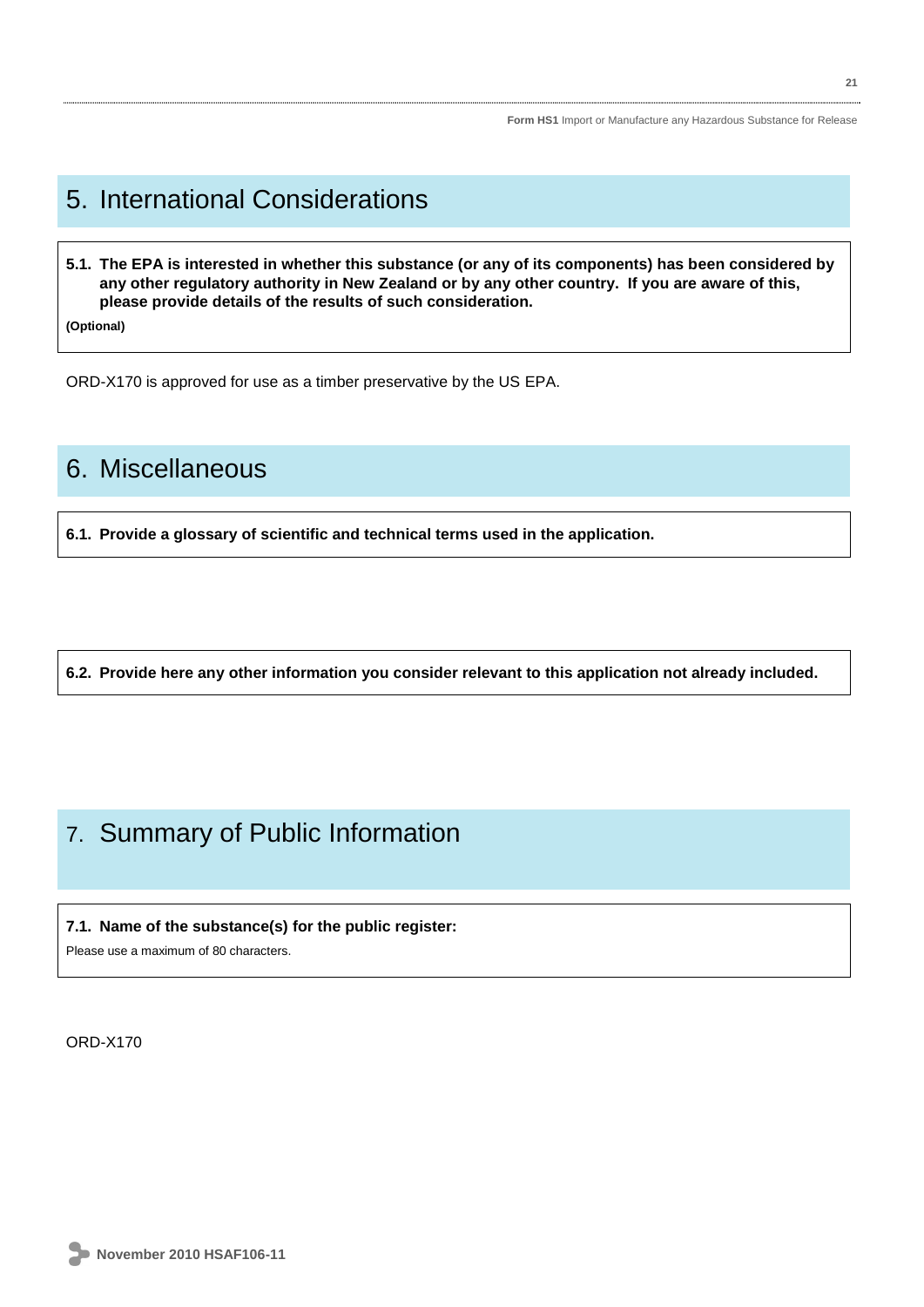# 5. International Considerations

**5.1. The EPA is interested in whether this substance (or any of its components) has been considered by any other regulatory authority in New Zealand or by any other country. If you are aware of this, please provide details of the results of such consideration.** 

**(Optional)**

ORD-X170 is approved for use as a timber preservative by the US EPA.

# 6. Miscellaneous

**6.1. Provide a glossary of scientific and technical terms used in the application.** 

**6.2. Provide here any other information you consider relevant to this application not already included.** 

# 7. Summary of Public Information

# **7.1. Name of the substance(s) for the public register:**

Please use a maximum of 80 characters.

ORD-X170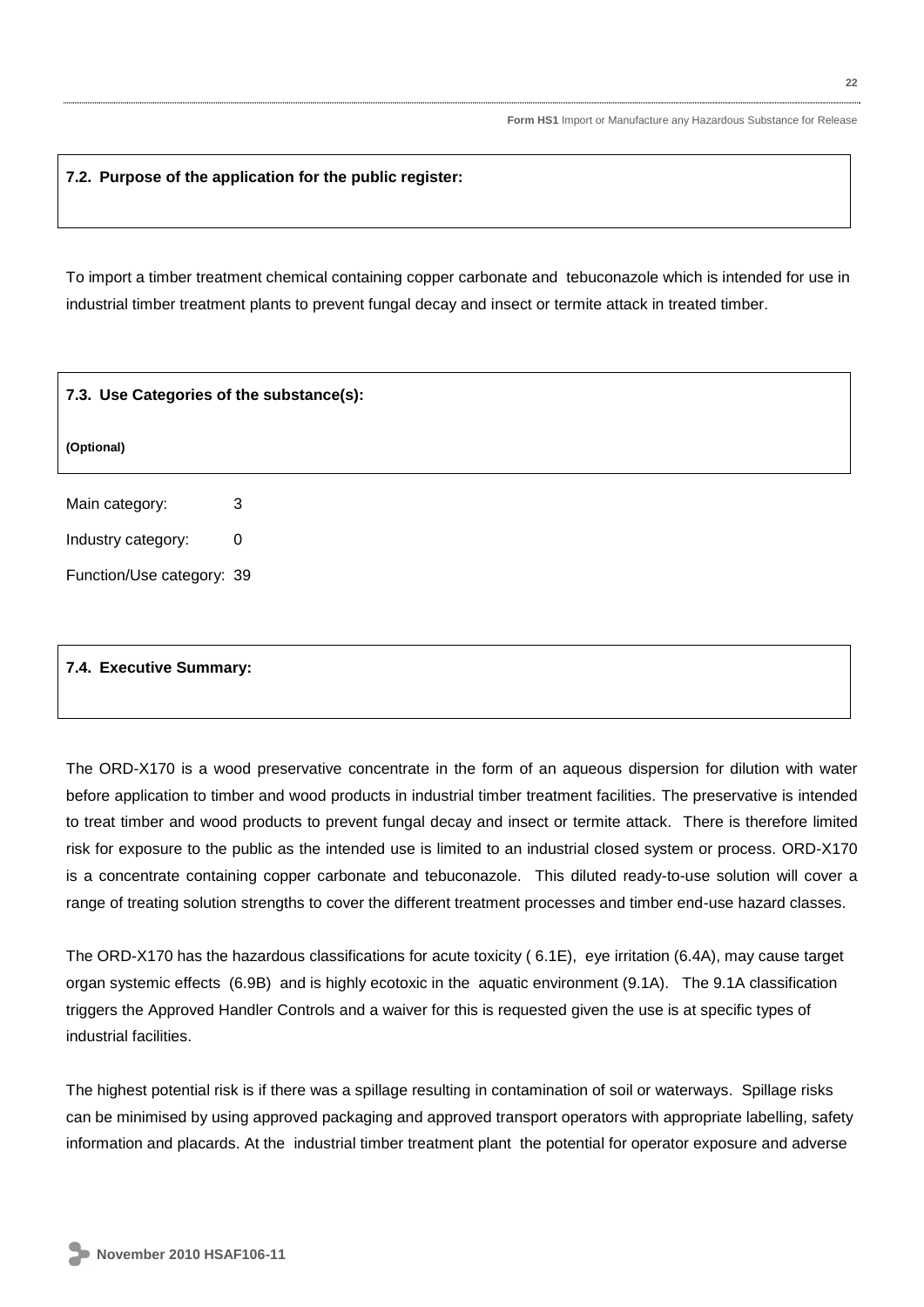# **7.2. Purpose of the application for the public register:**

To import a timber treatment chemical containing copper carbonate and tebuconazole which is intended for use in industrial timber treatment plants to prevent fungal decay and insect or termite attack in treated timber.

| 7.3. Use Categories of the substance(s): |             |  |
|------------------------------------------|-------------|--|
| (Optional)                               |             |  |
| Main category:                           | 3           |  |
| Industry category:                       | $\mathbf 0$ |  |
| Function/Use category: 39                |             |  |
|                                          |             |  |
|                                          |             |  |

# **7.4. Executive Summary:**

The ORD-X170 is a wood preservative concentrate in the form of an aqueous dispersion for dilution with water before application to timber and wood products in industrial timber treatment facilities. The preservative is intended to treat timber and wood products to prevent fungal decay and insect or termite attack. There is therefore limited risk for exposure to the public as the intended use is limited to an industrial closed system or process. ORD-X170 is a concentrate containing copper carbonate and tebuconazole. This diluted ready-to-use solution will cover a range of treating solution strengths to cover the different treatment processes and timber end-use hazard classes.

The ORD-X170 has the hazardous classifications for acute toxicity ( 6.1E), eye irritation (6.4A), may cause target organ systemic effects (6.9B) and is highly ecotoxic in the aquatic environment (9.1A). The 9.1A classification triggers the Approved Handler Controls and a waiver for this is requested given the use is at specific types of industrial facilities.

The highest potential risk is if there was a spillage resulting in contamination of soil or waterways. Spillage risks can be minimised by using approved packaging and approved transport operators with appropriate labelling, safety information and placards. At the industrial timber treatment plant the potential for operator exposure and adverse